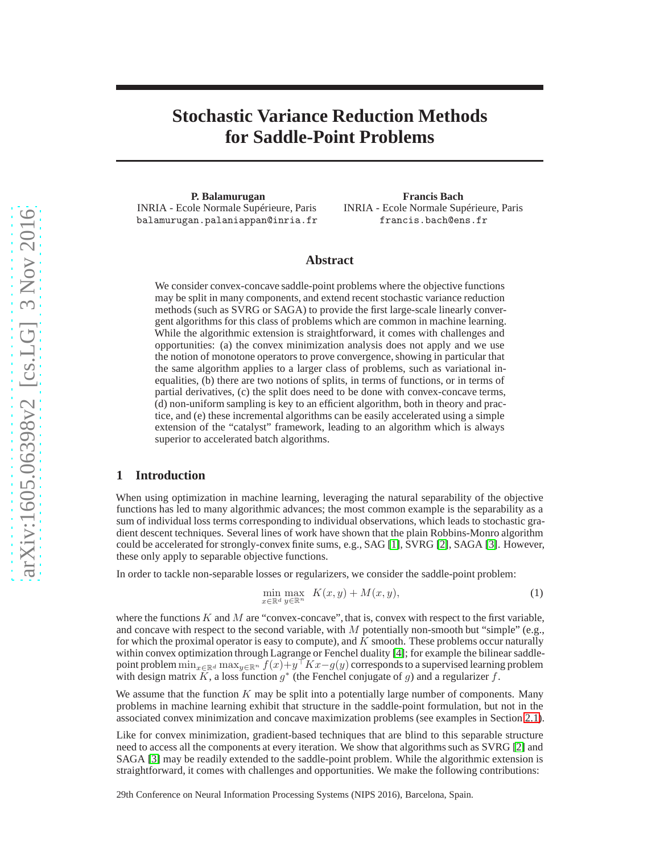# **Stochastic Variance Reduction Methods for Saddle-Point Problems**

**P. Balamurugan** INRIA - Ecole Normale Supérieure, Paris balamurugan.palaniappan@inria.fr

**Francis Bach** INRIA - Ecole Normale Supérieure, Paris francis.bach@ens.fr

# **Abstract**

We consider convex-concave saddle-point problems where the objective functions may be split in many components, and extend recent stochastic variance reduction methods (such as SVRG or SAGA) to provide the first large-scale linearly convergent algorithms for this class of problems which are common in machine learning. While the algorithmic extension is straightforward, it comes with challenges and opportunities: (a) the convex minimization analysis does not apply and we use the notion of monotone operators to prove convergence, showing in particular that the same algorithm applies to a larger class of problems, such as variational inequalities, (b) there are two notions of splits, in terms of functions, or in terms of partial derivatives, (c) the split does need to be done with convex-concave terms, (d) non-uniform sampling is key to an efficient algorithm, both in theory and practice, and (e) these incremental algorithms can be easily accelerated using a simple extension of the "catalyst" framework, leading to an algorithm which is always superior to accelerated batch algorithms.

## **1 Introduction**

When using optimization in machine learning, leveraging the natural separability of the objective functions has led to many algorithmic advances; the most common example is the separability as a sum of individual loss terms corresponding to individual observations, which leads to stochastic gradient descent techniques. Several lines of work have shown that the plain Robbins-Monro algorithm could be accelerated for strongly-convex finite sums, e.g., SAG [\[1\]](#page-8-0), SVRG [\[2\]](#page-8-1), SAGA [\[3\]](#page-8-2). However, these only apply to separable objective functions.

In order to tackle non-separable losses or regularizers, we consider the saddle-point problem:

<span id="page-0-0"></span>
$$
\min_{x \in \mathbb{R}^d} \max_{y \in \mathbb{R}^n} K(x, y) + M(x, y),\tag{1}
$$

where the functions  $K$  and  $M$  are "convex-concave", that is, convex with respect to the first variable, and concave with respect to the second variable, with  $M$  potentially non-smooth but "simple" (e.g., for which the proximal operator is easy to compute), and  $K$  smooth. These problems occur naturally within convex optimization through Lagrange or Fenchel duality [\[4\]](#page-8-3); for example the bilinear saddlepoint problem  $\min_{x \in \mathbb{R}^d} \max_{y \in \mathbb{R}^n} f(x) + y \mid Kx - g(y)$  corresponds to a supervised learning problem with design matrix K, a loss function  $g^*$  (the Fenchel conjugate of g) and a regularizer f.

We assume that the function  $K$  may be split into a potentially large number of components. Many problems in machine learning exhibit that structure in the saddle-point formulation, but not in the associated convex minimization and concave maximization problems (see examples in Section [2.1\)](#page-2-0).

Like for convex minimization, gradient-based techniques that are blind to this separable structure need to access all the components at every iteration. We show that algorithms such as SVRG [\[2\]](#page-8-1) and SAGA [\[3\]](#page-8-2) may be readily extended to the saddle-point problem. While the algorithmic extension is straightforward, it comes with challenges and opportunities. We make the following contributions:

29th Conference on Neural Information Processing Systems (NIPS 2016), Barcelona, Spain.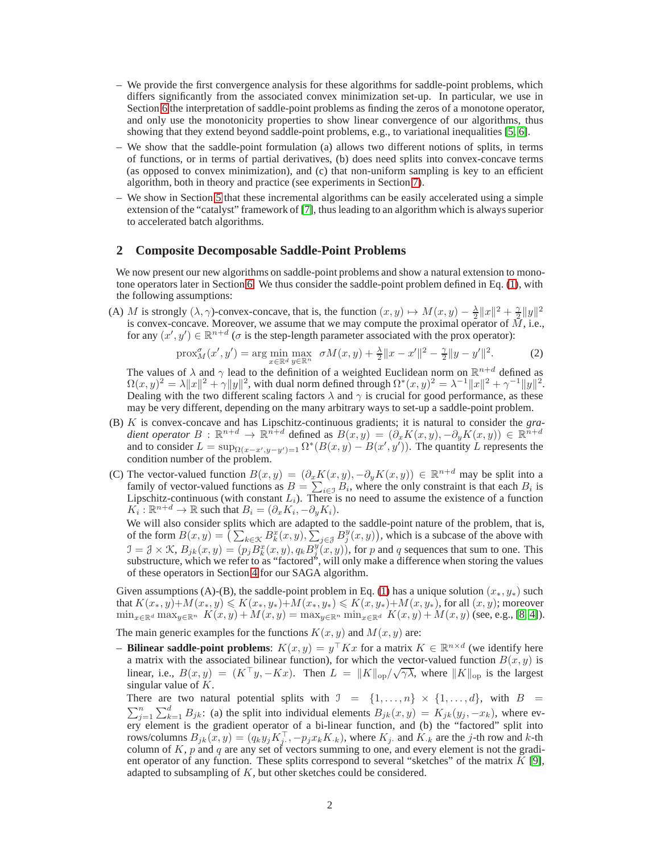- We provide the first convergence analysis for these algorithms for saddle-point problems, which differs significantly from the associated convex minimization set-up. In particular, we use in Section [6](#page-6-0) the interpretation of saddle-point problems as finding the zeros of a monotone operator, and only use the monotonicity properties to show linear convergence of our algorithms, thus showing that they extend beyond saddle-point problems, e.g., to variational inequalities [\[5,](#page-8-4) [6\]](#page-8-5).
- We show that the saddle-point formulation (a) allows two different notions of splits, in terms of functions, or in terms of partial derivatives, (b) does need splits into convex-concave terms (as opposed to convex minimization), and (c) that non-uniform sampling is key to an efficient algorithm, both in theory and practice (see experiments in Section [7\)](#page-7-0).
- We show in Section [5](#page-5-0) that these incremental algorithms can be easily accelerated using a simple extension of the "catalyst" framework of [\[7\]](#page-8-6), thus leading to an algorithm which is always superior to accelerated batch algorithms.

### <span id="page-1-0"></span>**2 Composite Decomposable Saddle-Point Problems**

We now present our new algorithms on saddle-point problems and show a natural extension to monotone operators later in Section [6.](#page-6-0) We thus consider the saddle-point problem defined in Eq. [\(1\)](#page-0-0), with the following assumptions:

(A) M is strongly  $(\lambda, \gamma)$ -convex-concave, that is, the function  $(x, y) \mapsto M(x, y) - \frac{\lambda}{2} ||x||^2 + \frac{\gamma}{2} ||y||^2$ is convex-concave. Moreover, we assume that we may compute the proximal operator of  $\tilde{M}$ , i.e., for any  $(x', y') \in \mathbb{R}^{n+d}$  ( $\sigma$  is the step-length parameter associated with the prox operator):

<span id="page-1-1"></span>
$$
\text{prox}_{M}^{\sigma}(x', y') = \arg \min_{x \in \mathbb{R}^d} \max_{y \in \mathbb{R}^n} \sigma M(x, y) + \frac{\lambda}{2} \|x - x'\|^2 - \frac{\gamma}{2} \|y - y'\|^2. \tag{2}
$$

The values of  $\lambda$  and  $\gamma$  lead to the definition of a weighted Euclidean norm on  $\mathbb{R}^{n+d}$  defined as  $\Omega(x, y)^2 = \lambda ||x||^2 + \gamma ||y||^2$ , with dual norm defined through  $\Omega^*(x, y)^2 = \lambda^{-1} ||x||^2 + \gamma^{-1} ||y||^2$ . Dealing with the two different scaling factors  $\lambda$  and  $\gamma$  is crucial for good performance, as these may be very different, depending on the many arbitrary ways to set-up a saddle-point problem.

- (B) K is convex-concave and has Lipschitz-continuous gradients; it is natural to consider the *gra*dient operator  $B : \mathbb{R}^{n+d} \to \mathbb{R}^{n+d}$  defined as  $B(x,y) = (\partial_x K(x,y), -\partial_y K(x,y)) \in \mathbb{R}^{n+d}$ and to consider  $L = \sup_{\Omega(x-x',y-y')=1} \Omega^*(B(x,y) - B(x',y'))$ . The quantity L represents the condition number of the problem.
- (C) The vector-valued function  $B(x, y) = (\partial_x K(x, y), -\partial_y K(x, y)) \in \mathbb{R}^{n+d}$  may be split into a family of vector-valued functions as  $B = \sum_{i \in \mathcal{I}} B_i$ , where the only constraint is that each  $B_i$  is Lipschitz-continuous (with constant  $L_i$ ). There is no need to assume the existence of a function  $K_i: \mathbb{R}^{n+d} \to \mathbb{R}$  such that  $B_i = (\partial_x K_i, -\partial_y K_i)$ .

We will also consider splits which are adapted to the saddle-point nature of the problem, that is, of the form  $B(x, y) = \left( \sum_{k \in \mathcal{K}} B_k^x(x, y), \sum_{j \in \mathcal{J}} B_j^y(x, y) \right)$ , which is a subcase of the above with  $\mathcal{I} = \mathcal{J} \times \mathcal{K}$ ,  $B_{jk}(x, y) = (p_j B_k^x(x, y), q_k B_j^y(x, y))$ , for p and q sequences that sum to one. This substructure, which we refer to as "factored", will only make a difference when storing the values of these operators in Section [4](#page-4-0) for our SAGA algorithm.

Given assumptions (A)-(B), the saddle-point problem in Eq. [\(1\)](#page-0-0) has a unique solution  $(x_*, y_*)$  such that  $K(x_*, y)+M(x_*, y) \le K(x_*, y_*)+M(x_*, y_*) \le K(x, y_*)+M(x, y_*)$ , for all  $(x, y)$ ; moreover  $\min_{x \in \mathbb{R}^d} \max_{y \in \mathbb{R}^n} K(x, y) + M(x, y) = \max_{y \in \mathbb{R}^n} \min_{x \in \mathbb{R}^d} K(x, y) + M(x, y)$  (see, e.g., [\[8,](#page-8-7) [4\]](#page-8-3)).

The main generic examples for the functions  $K(x, y)$  and  $M(x, y)$  are:

**- Bilinear saddle-point problems:**  $K(x, y) = y^\top Kx$  for a matrix  $K \in \mathbb{R}^{n \times d}$  (we identify here a matrix with the associated bilinear function), for which the vector-valued function  $B(x, y)$  is linear, i.e.,  $B(x, y) = (K^{\top}y, -Kx)$ . Then  $L = ||K||_{op}/\sqrt{\gamma\lambda}$ , where  $||K||_{op}$  is the largest singular value of  $K$ .

There are two natural potential splits with  $\mathcal{I} = \{1, \ldots, n\} \times \{1, \ldots, d\}$ , with  $B =$  $\sum_{j=1}^{n} \sum_{k=1}^{d} B_{jk}$ : (a) the split into individual elements  $B_{jk}(x, y) = K_{jk}(y_j, -x_k)$ , where every element is the gradient operator of a bi-linear function, and (b) the "factored" split into rows/columns  $B_{jk}(x, y) = (q_k y_j K_j^{\perp}, -p_j x_k K_k)$ , where  $K_j$  and  $K_k$  are the j-th row and  $k$ -th column of K,  $p$  and  $q$  are any set of vectors summing to one, and every element is not the gradient operator of any function. These splits correspond to several "sketches" of the matrix  $K$  [\[9\]](#page-8-8), adapted to subsampling of  $K$ , but other sketches could be considered.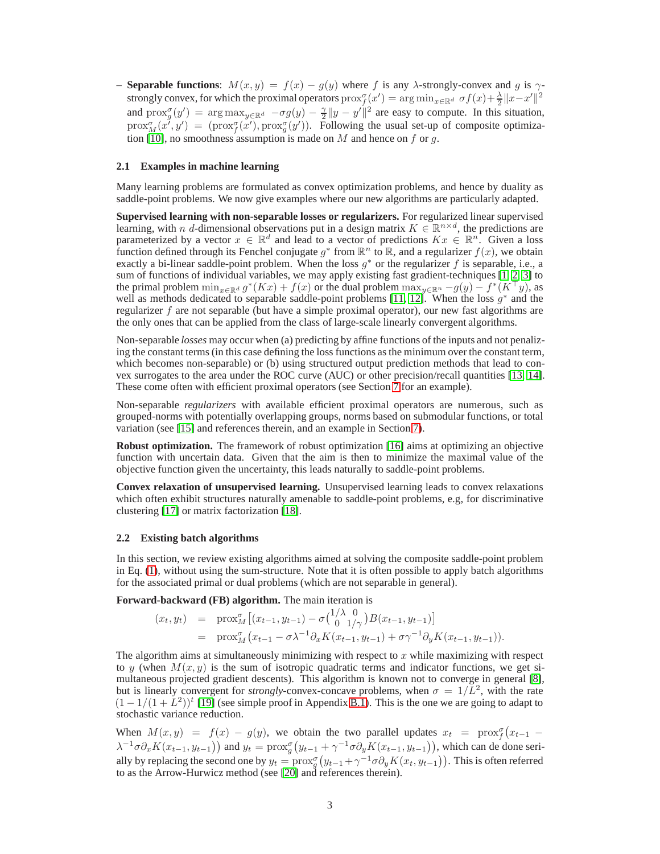**– Separable functions:**  $M(x, y) = f(x) - g(y)$  where f is any  $\lambda$ -strongly-convex and g is  $\gamma$ strongly convex, for which the proximal operators  $\text{prox}_{f(x)}^{\sigma}(x') = \arg \min_{x \in \mathbb{R}^d} \sigma f(x) + \frac{\lambda}{2} ||x - x'||^2$ and  $\text{prox}_{g}^{\sigma}(y') = \arg \max_{y \in \mathbb{R}^d} -\sigma g(y) - \frac{\gamma}{2} ||y - y'||^2$  are easy to compute. In this situation,  $prox_{M}^{\sigma}(x', y') = (prox_{f}^{\sigma}(x'), prox_{g}^{\sigma}(y'))$ . Following the usual set-up of composite optimiza-tion [\[10\]](#page-8-9), no smoothness assumption is made on  $M$  and hence on f or q.

### <span id="page-2-0"></span>**2.1 Examples in machine learning**

Many learning problems are formulated as convex optimization problems, and hence by duality as saddle-point problems. We now give examples where our new algorithms are particularly adapted.

**Supervised learning with non-separable losses or regularizers.** For regularized linear supervised learning, with n d-dimensional observations put in a design matrix  $K \in \mathbb{R}^{n \times d}$ , the predictions are parameterized by a vector  $x \in \mathbb{R}^d$  and lead to a vector of predictions  $Kx \in \mathbb{R}^n$ . Given a loss function defined through its Fenchel conjugate  $g^*$  from  $\mathbb{R}^n$  to  $\mathbb{R}$ , and a regularizer  $f(x)$ , we obtain exactly a bi-linear saddle-point problem. When the loss  $g^*$  or the regularizer f is separable, i.e., a sum of functions of individual variables, we may apply existing fast gradient-techniques [\[1,](#page-8-0) [2,](#page-8-1) [3\]](#page-8-2) to the primal problem  $\min_{x \in \mathbb{R}^d} g^*(Kx) + f(x)$  or the dual problem  $\max_{y \in \mathbb{R}^n} -g(y) - f^*(K^+y)$ , as well as methods dedicated to separable saddle-point problems [\[11,](#page-8-10) [12\]](#page-8-11). When the loss  $g^*$  and the regularizer f are not separable (but have a simple proximal operator), our new fast algorithms are the only ones that can be applied from the class of large-scale linearly convergent algorithms.

Non-separable *losses* may occur when (a) predicting by affine functions of the inputs and not penalizing the constant terms (in this case defining the loss functions as the minimum over the constant term, which becomes non-separable) or (b) using structured output prediction methods that lead to convex surrogates to the area under the ROC curve (AUC) or other precision/recall quantities [\[13,](#page-8-12) [14\]](#page-8-13). These come often with efficient proximal operators (see Section [7](#page-7-0) for an example).

Non-separable *regularizers* with available efficient proximal operators are numerous, such as grouped-norms with potentially overlapping groups, norms based on submodular functions, or total variation (see [\[15\]](#page-8-14) and references therein, and an example in Section [7\)](#page-7-0).

**Robust optimization.** The framework of robust optimization [\[16\]](#page-8-15) aims at optimizing an objective function with uncertain data. Given that the aim is then to minimize the maximal value of the objective function given the uncertainty, this leads naturally to saddle-point problems.

**Convex relaxation of unsupervised learning.** Unsupervised learning leads to convex relaxations which often exhibit structures naturally amenable to saddle-point problems, e.g, for discriminative clustering [\[17\]](#page-8-16) or matrix factorization [\[18\]](#page-8-17).

### <span id="page-2-1"></span>**2.2 Existing batch algorithms**

In this section, we review existing algorithms aimed at solving the composite saddle-point problem in Eq. [\(1\)](#page-0-0), without using the sum-structure. Note that it is often possible to apply batch algorithms for the associated primal or dual problems (which are not separable in general).

**Forward-backward (FB) algorithm.** The main iteration is

$$
(x_t, y_t) = \text{prox}_{M}^{\sigma} [(x_{t-1}, y_{t-1}) - \sigma {1/\lambda \ 0 \choose 0 \ 1/\gamma} B(x_{t-1}, y_{t-1})]
$$
  
=  $\text{prox}_{M}^{\sigma} (x_{t-1} - \sigma \lambda^{-1} \partial_x K(x_{t-1}, y_{t-1}) + \sigma \gamma^{-1} \partial_y K(x_{t-1}, y_{t-1})).$ 

The algorithm aims at simultaneously minimizing with respect to  $x$  while maximizing with respect to y (when  $M(x, y)$  is the sum of isotropic quadratic terms and indicator functions, we get simultaneous projected gradient descents). This algorithm is known not to converge in general [\[8\]](#page-8-7), but is linearly convergent for *strongly*-convex-concave problems, when  $\sigma = 1/L^2$ , with the rate  $(1 - 1/(1 + L^2))$ <sup>t</sup> [\[19\]](#page-8-18) (see simple proof in Appendix [B.1\)](#page-10-0). This is the one we are going to adapt to stochastic variance reduction.

When  $M(x, y) = f(x) - g(y)$ , we obtain the two parallel updates  $x_t = \text{prox}_{f}^{\sigma}(x_{t-1} - y)$  $\lambda^{-1}\sigma\partial_x K(x_{t-1}, y_{t-1})$  and  $y_t = \text{prox}_{g}^{\sigma}(y_{t-1} + \gamma^{-1}\sigma\partial_y K(x_{t-1}, y_{t-1}))$ , which can de done serially by replacing the second one by  $y_t = \text{prox}_{g}^{\sigma} (y_{t-1} + \gamma^{-1} \sigma \partial_y K(x_t, y_{t-1}))$ . This is often referred to as the Arrow-Hurwicz method (see [\[20\]](#page-8-19) and references therein).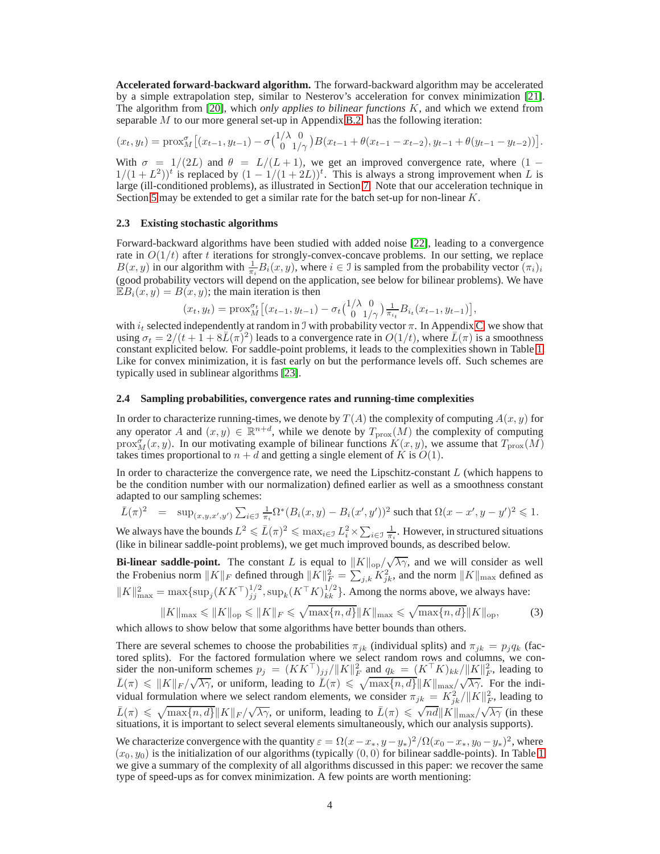**Accelerated forward-backward algorithm.** The forward-backward algorithm may be accelerated by a simple extrapolation step, similar to Nesterov's acceleration for convex minimization [\[21\]](#page-8-20). The algorithm from [\[20\]](#page-8-19), which *only applies to bilinear functions* K, and which we extend from separable M to our more general set-up in Appendix [B.2,](#page-10-1) has the following iteration:

$$
(x_t, y_t) = \text{prox}_{M}^{\sigma} \left[ (x_{t-1}, y_{t-1}) - \sigma {1/\lambda \choose 0} \frac{0}{1/\gamma} \right] B(x_{t-1} + \theta(x_{t-1} - x_{t-2}), y_{t-1} + \theta(y_{t-1} - y_{t-2})) \right].
$$

With  $\sigma = 1/(2L)$  and  $\theta = L/(L+1)$ , we get an improved convergence rate, where  $(1 (1+(L^2))^t$  is replaced by  $(1-1/(1+2L))^t$ . This is always a strong improvement when L is large (ill-conditioned problems), as illustrated in Section [7.](#page-7-0) Note that our acceleration technique in Section [5](#page-5-0) may be extended to get a similar rate for the batch set-up for non-linear K.

### <span id="page-3-1"></span>**2.3 Existing stochastic algorithms**

Forward-backward algorithms have been studied with added noise [\[22\]](#page-8-21), leading to a convergence rate in  $O(1/t)$  after t iterations for strongly-convex-concave problems. In our setting, we replace  $B(x, y)$  in our algorithm with  $\frac{1}{\pi i} B_i(x, y)$ , where  $i \in \mathcal{I}$  is sampled from the probability vector  $(\pi_i)_i$ (good probability vectors will depend on the application, see below for bilinear problems). We have  $\mathbb{E}B_i(x, y) = B(x, y)$ ; the main iteration is then

$$
(x_t, y_t) = \text{prox}_{M}^{\sigma_t} \big[ (x_{t-1}, y_{t-1}) - \sigma_t {1/\lambda \ 0 \choose 0 \ 1/\gamma} \frac{1}{\pi_{i_t}} B_{i_t}(x_{t-1}, y_{t-1}) \big],
$$

with  $i_t$  selected independently at random in J with probability vector  $\pi$ . In Appendix [C,](#page-11-0) we show that using  $\sigma_t = 2/(t+1+8\bar{L}(\pi)^2)$  leads to a convergence rate in  $O(1/t)$ , where  $\bar{L}(\pi)$  is a smoothness constant explicited below. For saddle-point problems, it leads to the complexities shown in Table [1.](#page-4-1) Like for convex minimization, it is fast early on but the performance levels off. Such schemes are typically used in sublinear algorithms [\[23\]](#page-8-22).

### **2.4 Sampling probabilities, convergence rates and running-time complexities**

In order to characterize running-times, we denote by  $T(A)$  the complexity of computing  $A(x, y)$  for any operator A and  $(x, y) \in \mathbb{R}^{n+d}$ , while we denote by  $T_{\text{prox}}(M)$  the complexity of computing  $prox_M^{\sigma}(x, y)$ . In our motivating example of bilinear functions  $K(x, y)$ , we assume that  $T_{\text{prox}}(M)$ takes times proportional to  $n + d$  and getting a single element of K is  $O(1)$ .

In order to characterize the convergence rate, we need the Lipschitz-constant  $L$  (which happens to be the condition number with our normalization) defined earlier as well as a smoothness constant adapted to our sampling schemes:

$$
\bar{L}(\pi)^2 = \sup_{(x,y,x',y')} \sum_{i \in \mathcal{I}} \frac{1}{\pi_i} \Omega^* (B_i(x,y) - B_i(x',y'))^2
$$
 such that  $\Omega(x - x', y - y')^2 \leq 1$ .

We always have the bounds  $L^2 \leq \bar{L}(\pi)^2 \leq \max_{i \in \mathcal{I}} L_i^2 \times \sum_{i \in \mathcal{I}} \frac{1}{\pi_i}$ . However, in structured situations (like in bilinear saddle-point problems), we get much improved bounds, as described below.

**Bi-linear saddle-point.** The constant L is equal to  $||K||_{op}/\sqrt{\lambda\gamma}$ , and we will consider as well the Frobenius norm  $||K||_F$  defined through  $||K||_F^2 = \sum_{j,k} K_{jk}^2$ , and the norm  $||K||_{\text{max}}$  defined as  $||K||_{\text{max}}^2 = \max\{\sup_j (KK^\top)^{1/2}_{jj}, \sup_k (K^\top K)^{1/2}_{kk}\}.$  Among the norms above, we always have:

<span id="page-3-0"></span>
$$
||K||_{\max} \le ||K||_{\text{op}} \le ||K||_F \le \sqrt{\max\{n, d\}} ||K||_{\max} \le \sqrt{\max\{n, d\}} ||K||_{\text{op}},\tag{3}
$$

which allows to show below that some algorithms have better bounds than others.

There are several schemes to choose the probabilities  $\pi_{jk}$  (individual splits) and  $\pi_{jk} = p_j q_k$  (factored splits). For the factored formulation where we select random rows and columns, we consider the non-uniform schemes  $p_j = (KK^\top)_{jj}/\|K\|_F^2$  and  $q_k = (K^\top K)_{kk}/\|K\|_F^2$ , leading to  $\bar{L}(\pi) \leq \|K\|_F / \sqrt{\lambda \gamma}$ , or uniform, leading to  $\bar{L}(\pi) \leq \sqrt{\max\{n, d\}} \|K\|_{\max} / \sqrt{\lambda \gamma}$ . For the individual formulation where we select random elements, we consider  $\pi_{jk} = K_{jk}^2 / ||K||_F^2$ , leading to  $\bar{L}(\pi) \leq \sqrt{\max\{n, d\}} \|K\|_F / \sqrt{\lambda \gamma}$ , or uniform, leading to  $\bar{L}(\pi) \leq \sqrt{n d} \|K\|_{\max} / \sqrt{\lambda \gamma}$  (in these situations, it is important to select several elements simultaneously, which our analysis supports).

We characterize convergence with the quantity  $\varepsilon = \Omega(x - x_*, y - y_*)^2 / \Omega(x_0 - x_*, y_0 - y_*)^2$ , where  $(x_0, y_0)$  is the initialization of our algorithms (typically  $(0, 0)$  for bilinear saddle-points). In Table [1](#page-4-1) we give a summary of the complexity of all algorithms discussed in this paper: we recover the same type of speed-ups as for convex minimization. A few points are worth mentioning: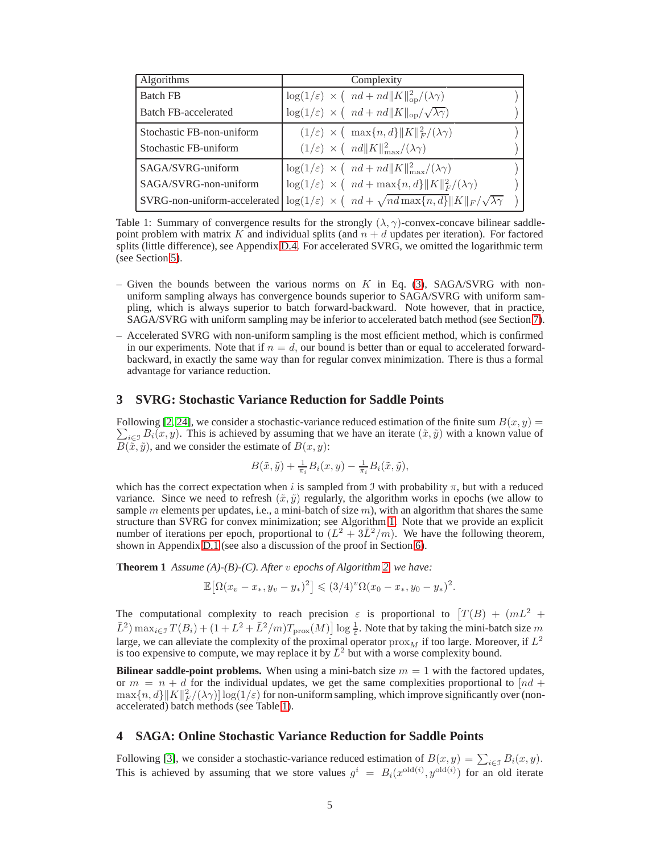| <b>Algorithms</b>           | Complexity                                                                                                               |  |
|-----------------------------|--------------------------------------------------------------------------------------------------------------------------|--|
| <b>Batch FB</b>             | $\log(1/\varepsilon) \times (nd + nd   K  ^2_{op}/(\lambda \gamma))$                                                     |  |
| <b>Batch FB-accelerated</b> | $\log(1/\varepsilon) \times (nd + nd   K  _{op}/\sqrt{\lambda \gamma})$                                                  |  |
| Stochastic FB-non-uniform   | $(1/\varepsilon) \times ( \max\{n, d\}   K  ^2_F/(\lambda \gamma))$                                                      |  |
| Stochastic FB-uniform       | $(1/\varepsilon) \times (n d   K  _{\max}^2/(\lambda \gamma))$                                                           |  |
| SAGA/SVRG-uniform           | $\log(1/\varepsilon) \times (nd + nd   K  _{\max}^2/(\lambda \gamma))$                                                   |  |
| SAGA/SVRG-non-uniform       | $\log(1/\varepsilon) \times (nd + \max\{n, d\}   K  ^2_F/(\lambda \gamma))$                                              |  |
|                             | SVRG-non-uniform-accelerated $ \log(1/\varepsilon) \times (nd + \sqrt{nd \max\{n, d\}}   K  _F / \sqrt{\lambda \gamma})$ |  |

<span id="page-4-1"></span>Table 1: Summary of convergence results for the strongly  $(\lambda, \gamma)$ -convex-concave bilinear saddlepoint problem with matrix K and individual splits (and  $n + d$  updates per iteration). For factored splits (little difference), see Appendix [D.4.](#page-17-0) For accelerated SVRG, we omitted the logarithmic term (see Section [5\)](#page-5-0).

- Given the bounds between the various norms on K in Eq. [\(3\)](#page-3-0), SAGA/SVRG with nonuniform sampling always has convergence bounds superior to SAGA/SVRG with uniform sampling, which is always superior to batch forward-backward. Note however, that in practice, SAGA/SVRG with uniform sampling may be inferior to accelerated batch method (see Section [7\)](#page-7-0).
- Accelerated SVRG with non-uniform sampling is the most efficient method, which is confirmed in our experiments. Note that if  $n = d$ , our bound is better than or equal to accelerated forwardbackward, in exactly the same way than for regular convex minimization. There is thus a formal advantage for variance reduction.

# <span id="page-4-3"></span>**3 SVRG: Stochastic Variance Reduction for Saddle Points**

 $\sum_{i\in\mathcal{I}} B_i(x, y)$ . This is achieved by assuming that we have an iterate  $(\tilde{x}, \tilde{y})$  with a known value of Following [\[2,](#page-8-1) [24\]](#page-8-23), we consider a stochastic-variance reduced estimation of the finite sum  $B(x, y) =$  $B(\tilde{x}, \tilde{y})$ , and we consider the estimate of  $B(x, y)$ :

<span id="page-4-2"></span>
$$
B(\tilde{x}, \tilde{y}) + \frac{1}{\pi_i} B_i(x, y) - \frac{1}{\pi_i} B_i(\tilde{x}, \tilde{y}),
$$

which has the correct expectation when i is sampled from J with probability  $\pi$ , but with a reduced variance. Since we need to refresh  $(\tilde{x}, \tilde{y})$  regularly, the algorithm works in epochs (we allow to sample  $m$  elements per updates, i.e., a mini-batch of size  $m$ ), with an algorithm that shares the same structure than SVRG for convex minimization; see Algorithm [1.](#page-5-1) Note that we provide an explicit number of iterations per epoch, proportional to  $(L^2 + 3\overline{L}^2/m)$ . We have the following theorem, shown in Appendix [D.1](#page-13-0) (see also a discussion of the proof in Section [6\)](#page-6-0).

**Theorem 1** *Assume (A)-(B)-(C). After* v *epochs of Algorithm [2,](#page-6-1) we have:*

$$
\mathbb{E}[\Omega(x_v - x_*, y_v - y_*)^2] \leq (3/4)^{v} \Omega(x_0 - x_*, y_0 - y_*)^2.
$$

The computational complexity to reach precision  $\varepsilon$  is proportional to  $T(B) + (mL^2 +$  $\bar{L}^2$ )  $\max_{i \in \mathcal{I}} T(B_i) + (1 + L^2 + \bar{L}^2/m)T_{\text{prox}}(M) \log \frac{1}{\varepsilon}$ . Note that by taking the mini-batch size m large, we can alleviate the complexity of the proximal operator  $prox_M$  if too large. Moreover, if  $L^2$ is too expensive to compute, we may replace it by  $\bar{L}^2$  but with a worse complexity bound.

**Bilinear saddle-point problems.** When using a mini-batch size  $m = 1$  with the factored updates, or  $m = n + d$  for the individual updates, we get the same complexities proportional to  $[nd +$  $\max\{n, d\} ||K||_F^2/(\lambda \gamma) \log(1/\varepsilon)$  for non-uniform sampling, which improve significantly over (nonaccelerated) batch methods (see Table [1\)](#page-4-1).

# <span id="page-4-0"></span>**4 SAGA: Online Stochastic Variance Reduction for Saddle Points**

Following [\[3\]](#page-8-2), we consider a stochastic-variance reduced estimation of  $B(x, y) = \sum_{i \in \mathcal{I}} B_i(x, y)$ . This is achieved by assuming that we store values  $g^i = B_i(x^{\text{old}(i)}, y^{\text{old}(i)})$  for an old iterate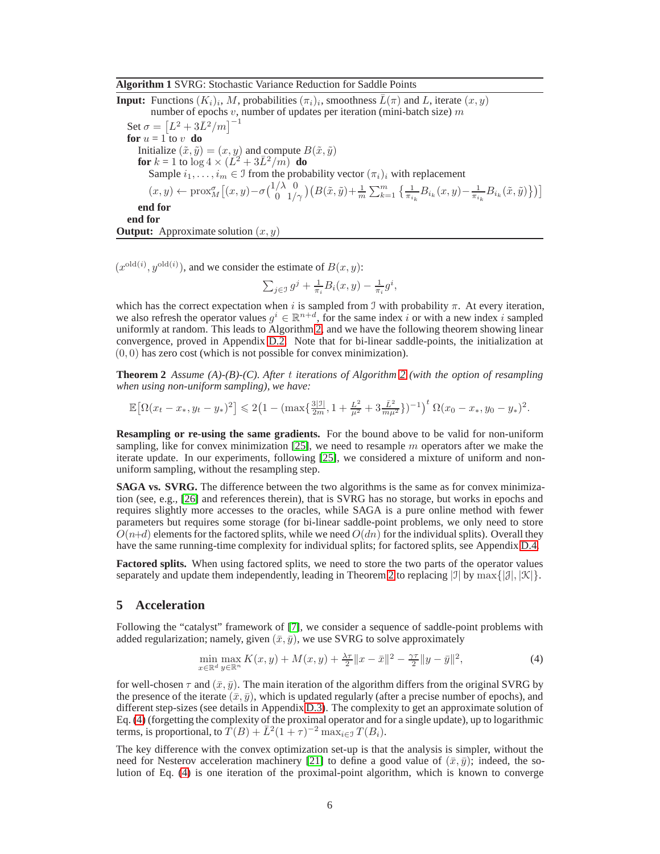### <span id="page-5-1"></span>**Algorithm 1** SVRG: Stochastic Variance Reduction for Saddle Points

**Input:** Functions  $(K_i)_i$ , M, probabilities  $(\pi_i)_i$ , smoothness  $\overline{L}(\pi)$  and L, iterate  $(x, y)$ number of epochs  $v$ , number of updates per iteration (mini-batch size)  $m$ Set  $\sigma = \left[L^2 + 3\bar{L}^2/m\right]^{-1}$ **for**  $u = 1$  to v **do** Initialize  $(\tilde{x}, \tilde{y}) = (x, y)$  and compute  $B(\tilde{x}, \tilde{y})$ **for**  $k = 1$  to  $\log 4 \times (L^2 + 3L^2/m)$  **do** Sample  $i_1, \ldots, i_m \in \mathcal{I}$  from the probability vector  $(\pi_i)_i$  with replacement  $(x,y) \leftarrow \text{prox}_{M}^{\sigma}\big[(x,y)-\sigma\big(\frac{1/\lambda}{0} \frac{0}{1/\gamma}\big)\big(B(\tilde{x},\tilde{y})+\frac{1}{m}\sum_{k=1}^{m} \Big\{\frac{1}{\pi_{i_k}}B_{i_k}(x,y)-\frac{1}{\pi_{i_k}}B_{i_k}(\tilde{x},\tilde{y})\Big\}\big)\big]$ **end for end for Output:** Approximate solution  $(x, y)$ 

 $(x^{\text{old}(i)}, y^{\text{old}(i)})$ , and we consider the estimate of  $B(x, y)$ :

<span id="page-5-2"></span>
$$
\sum_{j\in\mathcal{I}} g^j + \frac{1}{\pi_i} B_i(x, y) - \frac{1}{\pi_i} g^i,
$$

which has the correct expectation when i is sampled from J with probability  $\pi$ . At every iteration, we also refresh the operator values  $g^i \in \mathbb{R}^{n+d}$ , for the same index i or with a new index i sampled uniformly at random. This leads to Algorithm [2,](#page-6-1) and we have the following theorem showing linear convergence, proved in Appendix [D.2.](#page-14-0) Note that for bi-linear saddle-points, the initialization at  $(0, 0)$  has zero cost (which is not possible for convex minimization).

**Theorem 2** *Assume (A)-(B)-(C). After* t *iterations of Algorithm [2](#page-6-1) (with the option of resampling when using non-uniform sampling), we have:*

$$
\mathbb{E}\big[\Omega(x_t-x_*,y_t-y_*)^2\big] \leqslant 2\big(1-(\max\{\frac{3|\mathbb{I}|}{2m},1+\frac{L^2}{\mu^2}+3\frac{\bar{L}^2}{m\mu^2}\})^{-1}\big)^t\,\Omega(x_0-x_*,y_0-y_*)^2.
$$

**Resampling or re-using the same gradients.** For the bound above to be valid for non-uniform sampling, like for convex minimization  $[25]$ , we need to resample m operators after we make the iterate update. In our experiments, following [\[25\]](#page-8-24), we considered a mixture of uniform and nonuniform sampling, without the resampling step.

**SAGA vs. SVRG.** The difference between the two algorithms is the same as for convex minimization (see, e.g., [\[26\]](#page-8-25) and references therein), that is SVRG has no storage, but works in epochs and requires slightly more accesses to the oracles, while SAGA is a pure online method with fewer parameters but requires some storage (for bi-linear saddle-point problems, we only need to store  $O(n+d)$  elements for the factored splits, while we need  $O(dn)$  for the individual splits). Overall they have the same running-time complexity for individual splits; for factored splits, see Appendix [D.4.](#page-17-0)

**Factored splits.** When using factored splits, we need to store the two parts of the operator values separately and update them independently, leading in Theorem [2](#page-5-2) to replacing  $|J|$  by  $\max\{|J|, |\mathcal{K}|\}.$ 

# <span id="page-5-0"></span>**5 Acceleration**

Following the "catalyst" framework of [\[7\]](#page-8-6), we consider a sequence of saddle-point problems with added regularization; namely, given  $(\bar{x}, \bar{y})$ , we use SVRG to solve approximately

<span id="page-5-3"></span>
$$
\min_{x \in \mathbb{R}^d} \max_{y \in \mathbb{R}^n} K(x, y) + M(x, y) + \frac{\lambda \tau}{2} \|x - \bar{x}\|^2 - \frac{\gamma \tau}{2} \|y - \bar{y}\|^2,\tag{4}
$$

for well-chosen  $\tau$  and  $(\bar{x}, \bar{y})$ . The main iteration of the algorithm differs from the original SVRG by the presence of the iterate  $(\bar{x}, \bar{y})$ , which is updated regularly (after a precise number of epochs), and different step-sizes (see details in Appendix [D.3\)](#page-16-0). The complexity to get an approximate solution of Eq. [\(4\)](#page-5-3) (forgetting the complexity of the proximal operator and for a single update), up to logarithmic terms, is proportional, to  $\overline{T}(B) + \overline{L}^2(1+\tau)^{-2} \max_{i \in \mathcal{I}} T(B_i)$ .

The key difference with the convex optimization set-up is that the analysis is simpler, without the need for Nesterov acceleration machinery [\[21\]](#page-8-20) to define a good value of  $(\bar{x}, \bar{y})$ ; indeed, the solution of Eq. [\(4\)](#page-5-3) is one iteration of the proximal-point algorithm, which is known to converge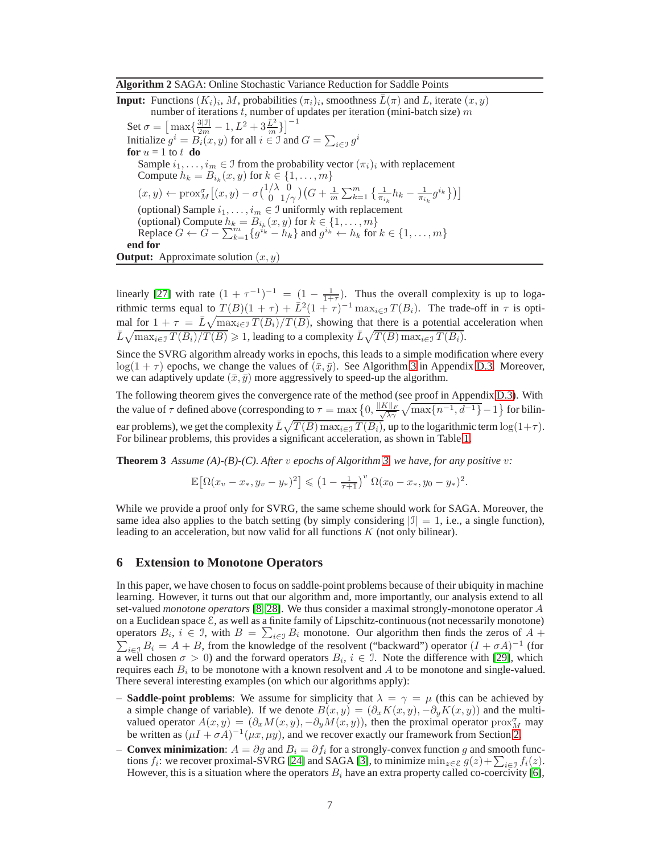#### <span id="page-6-1"></span>**Algorithm 2** SAGA: Online Stochastic Variance Reduction for Saddle Points

**Input:** Functions  $(K_i)_i$ , M, probabilities  $(\pi_i)_i$ , smoothness  $\overline{L}(\pi)$  and L, iterate  $(x, y)$ number of iterations t, number of updates per iteration (mini-batch size)  $m$ Set  $\sigma = \left[\max\{\frac{3| \mathfrak{I}|}{2m} -1 , L^2 + 3 \frac{\bar{L}^2}{m}\}\right]^{-1}$ Initialize  $g^i = B_i(x, y)$  for all  $i \in \mathcal{I}$  and  $G = \sum_{i \in \mathcal{I}} g^i$ **for**  $u = 1$  to  $t$  **do** Sample  $i_1, \ldots, i_m \in \mathcal{I}$  from the probability vector  $(\pi_i)_i$  with replacement Compute  $h_k = B_{i_k}(x, y)$  for  $k \in \{1, \ldots, m\}$  $(x,y) \leftarrow \text{prox}_{M}^{\sigma} \big[ (x,y) - \sigma {1/\lambda \atop 0}^{\overset{\circ}{\mathcal{D}}}\big) \big(G + \frac{1}{m} \sum_{k=1}^{m} \big\{ \frac{1}{\pi_{i_k}} h_k - \frac{1}{\pi_{i_k}} g^{i_k} \big\} \big) \big]$ (optional) Sample  $i_1, \ldots, i_m \in \mathcal{I}$  uniformly with replacement (optional) Compute  $h_k = B_{i_k}(x, y)$  for  $k \in \{1, \ldots, m\}$ Replace  $G \leftarrow G - \sum_{k=1}^{m} \{g^{i_k} - h_k\}$  and  $g^{i_k} \leftarrow h_k$  for  $k \in \{1, ..., m\}$ **end for Output:** Approximate solution  $(x, y)$ 

linearly [\[27\]](#page-8-26) with rate  $(1 + \tau^{-1})^{-1} = (1 - \frac{1}{1+\tau})$ . Thus the overall complexity is up to logarithmic terms equal to  $T(B)(1+\tau) + \bar{L}^2(1+\tau)^{-1} \max_{i \in \mathcal{I}} T(B_i)$ . The trade-off in  $\tau$  is optimal for  $1 + \tau = \bar{L}\sqrt{\max_{i \in \mathcal{I}} T(B_i)/T(B)}$ , showing that there is a potential acceleration when  $\bar{L}\sqrt{\max_{i\in\mathcal{I}}T(B_i)/T(B)}\geqslant 1$ , leading to a complexity  $\bar{L}\sqrt{T(B)\max_{i\in\mathcal{I}}T(B_i)}$ .

Since the SVRG algorithm already works in epochs, this leads to a simple modification where every  $log(1 + \tau)$  epochs, we change the values of  $(\bar{x}, \bar{y})$ . See Algorithm [3](#page-16-1) in Appendix [D.3.](#page-16-0) Moreover, we can adaptively update  $(\bar{x}, \bar{y})$  more aggressively to speed-up the algorithm.

The following theorem gives the convergence rate of the method (see proof in Appendix [D.3\)](#page-16-0). With the value of  $\tau$  defined above (corresponding to  $\tau = \max\left\{0, \frac{\|K\|_F}{\sqrt{\lambda\gamma}}\sqrt{\max\{n^{-1}, d^{-1}\}}-1\right\}$  for bilinear problems), we get the complexity  $\bar{L}\sqrt{T(B)\max_{i\in\mathcal{I}}T(B_i)}$ , up to the logarithmic term  $\log(1+\tau)$ . For bilinear problems, this provides a significant acceleration, as shown in Table [1.](#page-4-1)

**Theorem 3** Assume (A)-(B)-(C). After v epochs of Algorithm [3,](#page-16-1) we have, for any positive v:

<span id="page-6-2"></span>
$$
\mathbb{E}\big[\Omega(x_v-x_*,y_v-y_*)^2\big] \leqslant \left(1-\tfrac{1}{\tau+1}\right)^v\Omega(x_0-x_*,y_0-y_*)^2.
$$

While we provide a proof only for SVRG, the same scheme should work for SAGA. Moreover, the same idea also applies to the batch setting (by simply considering  $|J| = 1$ , i.e., a single function), leading to an acceleration, but now valid for all functions K (not only bilinear).

### <span id="page-6-0"></span>**6 Extension to Monotone Operators**

In this paper, we have chosen to focus on saddle-point problems because of their ubiquity in machine learning. However, it turns out that our algorithm and, more importantly, our analysis extend to all set-valued *monotone operators* [\[8,](#page-8-7) [28\]](#page-8-27). We thus consider a maximal strongly-monotone operator A on a Euclidean space  $\mathcal E$ , as well as a finite family of Lipschitz-continuous (not necessarily monotone) operators  $B_i$ ,  $i \in \mathcal{I}$ , with  $B = \sum_{i \in \mathcal{I}} B_i$  monotone. Our algorithm then finds the zeros of  $A + \sum_{i \in \mathcal{I}} B_i$  $\sum_{i\in J} B_i = A + B$ , from the knowledge of the resolvent ("backward") operator  $(I + \sigma A)^{-1}$  (for a well chosen  $\sigma > 0$ ) and the forward operators  $B_i$ ,  $i \in \mathcal{I}$ . Note the difference with [\[29\]](#page-8-28), which requires each  $B_i$  to be monotone with a known resolvent and  $A$  to be monotone and single-valued. There several interesting examples (on which our algorithms apply):

- **Saddle-point problems**: We assume for simplicity that  $\lambda = \gamma = \mu$  (this can be achieved by a simple change of variable). If we denote  $B(x, y) = (\partial_x K(x, y), -\partial_y K(x, y))$  and the multivalued operator  $A(x, y) = (\partial_x M(x, y), -\partial_y M(x, y))$ , then the proximal operator prox<sub>M</sub> may be written as  $(\mu I + \sigma A)^{-1}(\mu x, \mu y)$ , and we recover exactly our framework from Section [2.](#page-1-0)
- **Convex minimization**:  $A = \partial g$  and  $B_i = \partial f_i$  for a strongly-convex function g and smooth functions  $f_i$ : we recover proximal-SVRG [\[24\]](#page-8-23) and SAGA [\[3\]](#page-8-2), to minimize  $\min_{z \in \mathcal{E}} g(z) + \sum_{i \in \mathcal{I}} f_i(z)$ . However, this is a situation where the operators  $B_i$  have an extra property called co-coercivity [\[6\]](#page-8-5),<br>However, this is a situation where the operators  $B_i$  have an extra property called co-coercivity [6],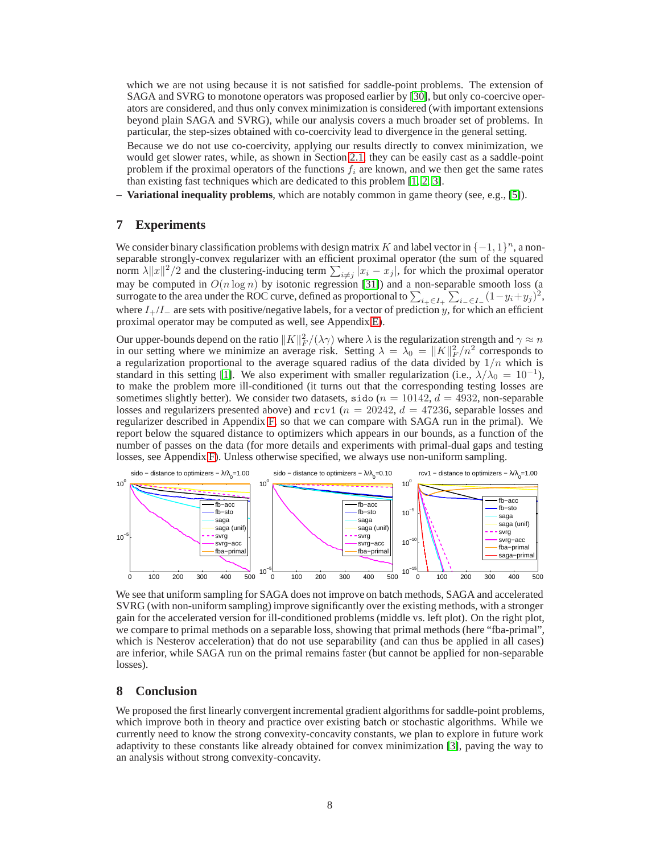which we are not using because it is not satisfied for saddle-point problems. The extension of SAGA and SVRG to monotone operators was proposed earlier by [\[30\]](#page-8-29), but only co-coercive operators are considered, and thus only convex minimization is considered (with important extensions beyond plain SAGA and SVRG), while our analysis covers a much broader set of problems. In particular, the step-sizes obtained with co-coercivity lead to divergence in the general setting.

Because we do not use co-coercivity, applying our results directly to convex minimization, we would get slower rates, while, as shown in Section [2.1,](#page-2-0) they can be easily cast as a saddle-point problem if the proximal operators of the functions  $f_i$  are known, and we then get the same rates than existing fast techniques which are dedicated to this problem [\[1,](#page-8-0) [2,](#page-8-1) [3\]](#page-8-2).

<span id="page-7-0"></span>– **Variational inequality problems**, which are notably common in game theory (see, e.g., [\[5\]](#page-8-4)).

## **7 Experiments**

We consider binary classification problems with design matrix K and label vector in  $\{-1, 1\}^n$ , a nonseparable strongly-convex regularizer with an efficient proximal operator (the sum of the squared norm  $\lambda ||x||^2/2$  and the clustering-inducing term  $\sum_{i \neq j} |x_i - x_j|$ , for which the proximal operator may be computed in  $O(n \log n)$  by isotonic regression [\[31\]](#page-8-30)) and a non-separable smooth loss (a surrogate to the area under the ROC curve, defined as proportional to  $\sum_{i_+ \in I_+} \sum_{i_- \in I_-} (1 - y_i + y_j)^2$ , where  $I_{+}/I_{-}$  are sets with positive/negative labels, for a vector of prediction y, for which an efficient proximal operator may be computed as well, see Appendix [E\)](#page-18-0).

Our upper-bounds depend on the ratio  $||K||_F^2/(\lambda \gamma)$  where  $\lambda$  is the regularization strength and  $\gamma \approx n$ in our setting where we minimize an average risk. Setting  $\lambda = \lambda_0 = ||K||_F^2/n^2$  corresponds to a regularization proportional to the average squared radius of the data divided by  $1/n$  which is standard in this setting [\[1\]](#page-8-0). We also experiment with smaller regularization (i.e.,  $\lambda/\lambda_0 = 10^{-1}$ ), to make the problem more ill-conditioned (it turns out that the corresponding testing losses are sometimes slightly better). We consider two datasets, sido ( $n = 10142$ ,  $d = 4932$ , non-separable losses and regularizers presented above) and rcv1 ( $n = 20242$ ,  $d = 47236$ , separable losses and regularizer described in Appendix [F,](#page-20-0) so that we can compare with SAGA run in the primal). We report below the squared distance to optimizers which appears in our bounds, as a function of the number of passes on the data (for more details and experiments with primal-dual gaps and testing losses, see Appendix [F\)](#page-20-0). Unless otherwise specified, we always use non-uniform sampling.



We see that uniform sampling for SAGA does not improve on batch methods, SAGA and accelerated SVRG (with non-uniform sampling) improve significantly over the existing methods, with a stronger gain for the accelerated version for ill-conditioned problems (middle vs. left plot). On the right plot, we compare to primal methods on a separable loss, showing that primal methods (here "fba-primal", which is Nesterov acceleration) that do not use separability (and can thus be applied in all cases) are inferior, while SAGA run on the primal remains faster (but cannot be applied for non-separable losses).

# **8 Conclusion**

We proposed the first linearly convergent incremental gradient algorithms for saddle-point problems, which improve both in theory and practice over existing batch or stochastic algorithms. While we currently need to know the strong convexity-concavity constants, we plan to explore in future work adaptivity to these constants like already obtained for convex minimization [\[3\]](#page-8-2), paving the way to an analysis without strong convexity-concavity.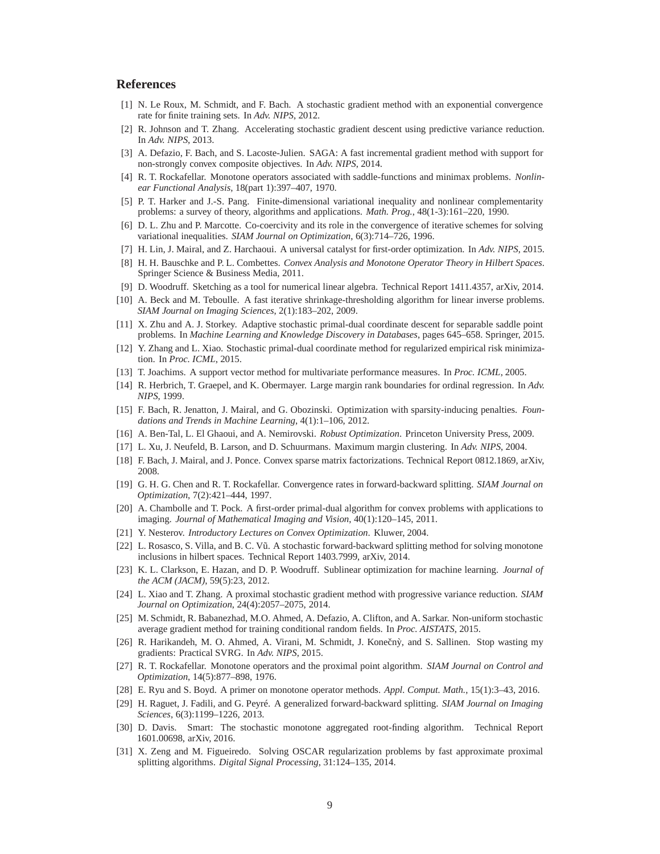# <span id="page-8-0"></span>**References**

- <span id="page-8-1"></span>[1] N. Le Roux, M. Schmidt, and F. Bach. A stochastic gradient method with an exponential convergence rate for finite training sets. In *Adv. NIPS*, 2012.
- <span id="page-8-2"></span>[2] R. Johnson and T. Zhang. Accelerating stochastic gradient descent using predictive variance reduction. In *Adv. NIPS*, 2013.
- <span id="page-8-3"></span>[3] A. Defazio, F. Bach, and S. Lacoste-Julien. SAGA: A fast incremental gradient method with support for non-strongly convex composite objectives. In *Adv. NIPS*, 2014.
- [4] R. T. Rockafellar. Monotone operators associated with saddle-functions and minimax problems. *Nonlinear Functional Analysis*, 18(part 1):397–407, 1970.
- <span id="page-8-5"></span><span id="page-8-4"></span>[5] P. T. Harker and J.-S. Pang. Finite-dimensional variational inequality and nonlinear complementarity problems: a survey of theory, algorithms and applications. *Math. Prog.*, 48(1-3):161–220, 1990.
- <span id="page-8-6"></span>[6] D. L. Zhu and P. Marcotte. Co-coercivity and its role in the convergence of iterative schemes for solving variational inequalities. *SIAM Journal on Optimization*, 6(3):714–726, 1996.
- <span id="page-8-7"></span>[7] H. Lin, J. Mairal, and Z. Harchaoui. A universal catalyst for first-order optimization. In *Adv. NIPS*, 2015.
- <span id="page-8-8"></span>[8] H. H. Bauschke and P. L. Combettes. *Convex Analysis and Monotone Operator Theory in Hilbert Spaces*. Springer Science & Business Media, 2011.
- <span id="page-8-9"></span>[9] D. Woodruff. Sketching as a tool for numerical linear algebra. Technical Report 1411.4357, arXiv, 2014.
- <span id="page-8-10"></span>[10] A. Beck and M. Teboulle. A fast iterative shrinkage-thresholding algorithm for linear inverse problems. *SIAM Journal on Imaging Sciences*, 2(1):183–202, 2009.
- <span id="page-8-11"></span>[11] X. Zhu and A. J. Storkey. Adaptive stochastic primal-dual coordinate descent for separable saddle point problems. In *Machine Learning and Knowledge Discovery in Databases*, pages 645–658. Springer, 2015.
- <span id="page-8-12"></span>[12] Y. Zhang and L. Xiao. Stochastic primal-dual coordinate method for regularized empirical risk minimization. In *Proc. ICML*, 2015.
- <span id="page-8-13"></span>[13] T. Joachims. A support vector method for multivariate performance measures. In *Proc. ICML*, 2005.
- [14] R. Herbrich, T. Graepel, and K. Obermayer. Large margin rank boundaries for ordinal regression. In *Adv. NIPS*, 1999.
- <span id="page-8-14"></span>[15] F. Bach, R. Jenatton, J. Mairal, and G. Obozinski. Optimization with sparsity-inducing penalties. *Foundations and Trends in Machine Learning*, 4(1):1–106, 2012.
- <span id="page-8-16"></span><span id="page-8-15"></span>[16] A. Ben-Tal, L. El Ghaoui, and A. Nemirovski. *Robust Optimization*. Princeton University Press, 2009.
- <span id="page-8-17"></span>[17] L. Xu, J. Neufeld, B. Larson, and D. Schuurmans. Maximum margin clustering. In *Adv. NIPS*, 2004.
- <span id="page-8-18"></span>[18] F. Bach, J. Mairal, and J. Ponce. Convex sparse matrix factorizations. Technical Report 0812.1869, arXiv, 2008.
- [19] G. H. G. Chen and R. T. Rockafellar. Convergence rates in forward-backward splitting. *SIAM Journal on Optimization*, 7(2):421–444, 1997.
- <span id="page-8-19"></span>[20] A. Chambolle and T. Pock. A first-order primal-dual algorithm for convex problems with applications to imaging. *Journal of Mathematical Imaging and Vision*, 40(1):120–145, 2011.
- <span id="page-8-21"></span><span id="page-8-20"></span>[21] Y. Nesterov. *Introductory Lectures on Convex Optimization*. Kluwer, 2004.
- [22] L. Rosasco, S. Villa, and B. C. Vũ. A stochastic forward-backward splitting method for solving monotone inclusions in hilbert spaces. Technical Report 1403.7999, arXiv, 2014.
- <span id="page-8-22"></span>[23] K. L. Clarkson, E. Hazan, and D. P. Woodruff. Sublinear optimization for machine learning. *Journal of the ACM (JACM)*, 59(5):23, 2012.
- <span id="page-8-23"></span>[24] L. Xiao and T. Zhang. A proximal stochastic gradient method with progressive variance reduction. *SIAM Journal on Optimization*, 24(4):2057–2075, 2014.
- <span id="page-8-24"></span>[25] M. Schmidt, R. Babanezhad, M.O. Ahmed, A. Defazio, A. Clifton, and A. Sarkar. Non-uniform stochastic average gradient method for training conditional random fields. In *Proc. AISTATS*, 2015.
- <span id="page-8-25"></span>[26] R. Harikandeh, M. O. Ahmed, A. Virani, M. Schmidt, J. Konečný, and S. Sallinen. Stop wasting my gradients: Practical SVRG. In *Adv. NIPS*, 2015.
- <span id="page-8-26"></span>[27] R. T. Rockafellar. Monotone operators and the proximal point algorithm. *SIAM Journal on Control and Optimization*, 14(5):877–898, 1976.
- <span id="page-8-28"></span><span id="page-8-27"></span>[28] E. Ryu and S. Boyd. A primer on monotone operator methods. *Appl. Comput. Math.*, 15(1):3–43, 2016.
- [29] H. Raguet, J. Fadili, and G. Peyré. A generalized forward-backward splitting. *SIAM Journal on Imaging Sciences*, 6(3):1199–1226, 2013.
- <span id="page-8-29"></span>[30] D. Davis. Smart: The stochastic monotone aggregated root-finding algorithm. Technical Report 1601.00698, arXiv, 2016.
- <span id="page-8-30"></span>[31] X. Zeng and M. Figueiredo. Solving OSCAR regularization problems by fast approximate proximal splitting algorithms. *Digital Signal Processing*, 31:124–135, 2014.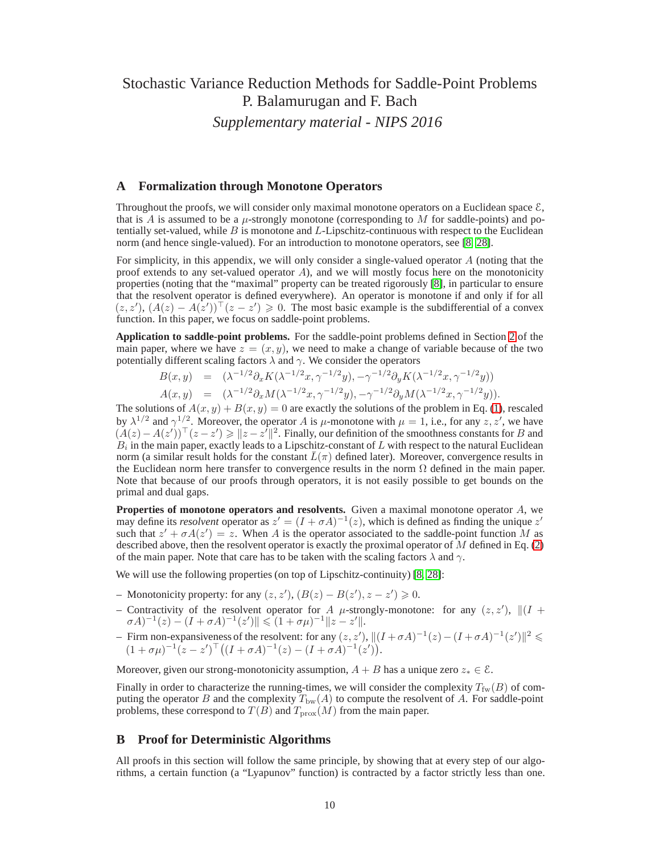# Stochastic Variance Reduction Methods for Saddle-Point Problems P. Balamurugan and F. Bach *Supplementary material - NIPS 2016*

## **A Formalization through Monotone Operators**

Throughout the proofs, we will consider only maximal monotone operators on a Euclidean space  $\mathcal{E}$ , that is A is assumed to be a  $\mu$ -strongly monotone (corresponding to M for saddle-points) and potentially set-valued, while  $B$  is monotone and  $L$ -Lipschitz-continuous with respect to the Euclidean norm (and hence single-valued). For an introduction to monotone operators, see [\[8,](#page-8-7) [28\]](#page-8-27).

For simplicity, in this appendix, we will only consider a single-valued operator  $A$  (noting that the proof extends to any set-valued operator A), and we will mostly focus here on the monotonicity properties (noting that the "maximal" property can be treated rigorously [\[8\]](#page-8-7), in particular to ensure that the resolvent operator is defined everywhere). An operator is monotone if and only if for all  $(z, z')$ ,  $(A(z) - A(z'))$   $(z - z') \ge 0$ . The most basic example is the subdifferential of a convex function. In this paper, we focus on saddle-point problems.

**Application to saddle-point problems.** For the saddle-point problems defined in Section [2](#page-1-0) of the main paper, where we have  $z = (x, y)$ , we need to make a change of variable because of the two potentially different scaling factors  $\lambda$  and  $\gamma$ . We consider the operators

$$
B(x,y) = (\lambda^{-1/2} \partial_x K(\lambda^{-1/2} x, \gamma^{-1/2} y), -\gamma^{-1/2} \partial_y K(\lambda^{-1/2} x, \gamma^{-1/2} y))
$$
  

$$
A(x,y) = (\lambda^{-1/2} \partial_x M(\lambda^{-1/2} x, \gamma^{-1/2} y), -\gamma^{-1/2} \partial_y M(\lambda^{-1/2} x, \gamma^{-1/2} y)).
$$

The solutions of  $A(x, y) + B(x, y) = 0$  are exactly the solutions of the problem in Eq. [\(1\)](#page-0-0), rescaled by  $\lambda^{1/2}$  and  $\gamma^{1/2}$ . Moreover, the operator A is  $\mu$ -monotone with  $\mu = 1$ , i.e., for any  $z, z'$ , we have  $(A(z) - A(z'))^{\top} (z - z') \geq ||z - z'||^2$ . Finally, our definition of the smoothness constants for B and  $B_i$  in the main paper, exactly leads to a Lipschitz-constant of L with respect to the natural Euclidean norm (a similar result holds for the constant  $\bar{L}(\pi)$  defined later). Moreover, convergence results in the Euclidean norm here transfer to convergence results in the norm  $\Omega$  defined in the main paper. Note that because of our proofs through operators, it is not easily possible to get bounds on the primal and dual gaps.

**Properties of monotone operators and resolvents.** Given a maximal monotone operator A, we may define its *resolvent* operator as  $z' = (I + \sigma A)^{-1}(z)$ , which is defined as finding the unique  $z'$ such that  $z' + \sigma A(z') = z$ . When A is the operator associated to the saddle-point function M as described above, then the resolvent operator is exactly the proximal operator of  $M$  defined in Eq. [\(2\)](#page-1-1) of the main paper. Note that care has to be taken with the scaling factors  $\lambda$  and  $\gamma$ .

We will use the following properties (on top of Lipschitz-continuity) [\[8,](#page-8-7) [28\]](#page-8-27):

- − Monotonicity property: for any  $(z, z')$ ,  $(B(z) B(z')$ ,  $z z') \ge 0$ .
- Contractivity of the resolvent operator for A  $\mu$ -strongly-monotone: for any  $(z, z')$ ,  $\|(I + \mu)$  $\sigma A$ )<sup>-1</sup>(z) –  $(I + \sigma A)$ <sup>-1</sup>(z')||  $\leqslant$   $(1 + \sigma \mu)$ <sup>-1</sup>||z – z'||.
- − Firm non-expansiveness of the resolvent: for any  $(z, z')$ ,  $||(I + σA)^{-1}(z) (I + σA)^{-1}(z')||^2$  ≤  $(1 + \sigma \mu)^{-1} (z - z')^{\top} ((I + \sigma A)^{-1} (z) - (I + \sigma A)^{-1} (z')).$

Moreover, given our strong-monotonicity assumption,  $A + B$  has a unique zero  $z_* \in \mathcal{E}$ .

Finally in order to characterize the running-times, we will consider the complexity  $T_{fw}(B)$  of computing the operator B and the complexity  $T_{bw}(A)$  to compute the resolvent of A. For saddle-point problems, these correspond to  $T(B)$  and  $T_{\text{prox}}(M)$  from the main paper.

## **B Proof for Deterministic Algorithms**

All proofs in this section will follow the same principle, by showing that at every step of our algorithms, a certain function (a "Lyapunov" function) is contracted by a factor strictly less than one.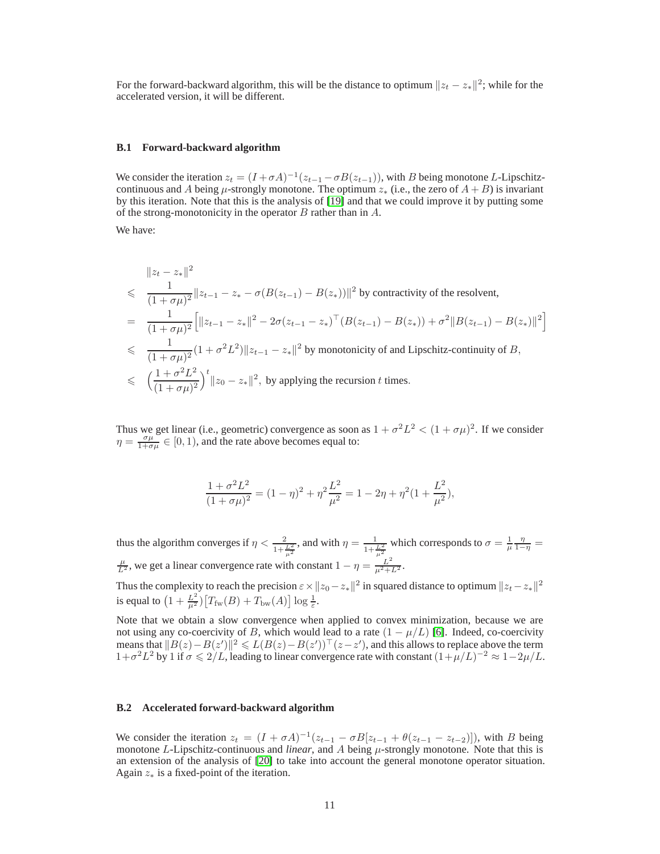For the forward-backward algorithm, this will be the distance to optimum  $||z_t - z_*||^2$ ; while for the accelerated version, it will be different.

### <span id="page-10-0"></span>**B.1 Forward-backward algorithm**

We consider the iteration  $z_t = (I + \sigma A)^{-1} (z_{t-1} - \sigma B(z_{t-1}))$ , with B being monotone L-Lipschitzcontinuous and A being  $\mu$ -strongly monotone. The optimum  $z_*$  (i.e., the zero of  $A + B$ ) is invariant by this iteration. Note that this is the analysis of [\[19\]](#page-8-18) and that we could improve it by putting some of the strong-monotonicity in the operator  $B$  rather than in  $A$ .

We have:

$$
\|z_t - z_*\|^2
$$
\n
$$
\leq \frac{1}{(1+\sigma\mu)^2} \|z_{t-1} - z_* - \sigma(B(z_{t-1}) - B(z_*))\|^2 \text{ by contractivity of the resolvent,}
$$
\n
$$
= \frac{1}{(1+\sigma\mu)^2} \Big[ \|z_{t-1} - z_*\|^2 - 2\sigma(z_{t-1} - z_*)^\top (B(z_{t-1}) - B(z_*)) + \sigma^2 \|B(z_{t-1}) - B(z_*)\|^2 \Big]
$$
\n
$$
\leq \frac{1}{(1+\sigma\mu)^2} (1+\sigma^2 L^2) \|z_{t-1} - z_*\|^2 \text{ by monotonicity of and Lipschitz-continuity of } B,
$$
\n
$$
\leq \left(\frac{1+\sigma^2 L^2}{(1+\sigma\mu)^2}\right)^t \|z_0 - z_*\|^2, \text{ by applying the recursion } t \text{ times.}
$$

Thus we get linear (i.e., geometric) convergence as soon as  $1 + \sigma^2 L^2 < (1 + \sigma \mu)^2$ . If we consider  $\eta = \frac{\sigma \mu}{1 + \sigma \mu} \in [0, 1)$ , and the rate above becomes equal to:

$$
\frac{1+\sigma^2 L^2}{(1+\sigma\mu)^2} = (1-\eta)^2 + \eta^2 \frac{L^2}{\mu^2} = 1 - 2\eta + \eta^2 (1 + \frac{L^2}{\mu^2}),
$$

thus the algorithm converges if  $\eta < \frac{2}{1+\frac{L^2}{\mu^2}}$ , and with  $\eta = \frac{1}{1+\frac{L^2}{\mu^2}}$  which corresponds to  $\sigma = \frac{1}{\mu} \frac{\eta}{1-\eta} =$  $\frac{\mu}{L^2}$ , we get a linear convergence rate with constant  $1 - \eta = \frac{L^2}{\mu^2 + L^2}$ .

Thus the complexity to reach the precision  $\varepsilon \times ||z_0 - z_*||^2$  in squared distance to optimum  $||z_t - z_*||^2$ is equal to  $\left(1+\frac{L^2}{\mu^2}\right)\left[T_{\text{fw}}(B)+T_{\text{bw}}(A)\right]\log\frac{1}{\varepsilon}$ .

Note that we obtain a slow convergence when applied to convex minimization, because we are not using any co-coercivity of B, which would lead to a rate  $(1 - \mu/L)$  [\[6\]](#page-8-5). Indeed, co-coercivity means that  $||B(z)-B(z')||^2 \leq L(B(z)-B(z'))^{\top}(z-z')$ , and this allows to replace above the term  $1+\sigma^2 L^2$  by 1 if  $\sigma \leq 2/L$ , leading to linear convergence rate with constant  $(1+\mu/L)^{-2} \approx 1-2\mu/L$ .

#### <span id="page-10-1"></span>**B.2 Accelerated forward-backward algorithm**

We consider the iteration  $z_t = (I + \sigma A)^{-1} (z_{t-1} - \sigma B [z_{t-1} + \theta (z_{t-1} - z_{t-2})])$ , with B being monotone L-Lipschitz-continuous and *linear*, and A being  $\mu$ -strongly monotone. Note that this is an extension of the analysis of [\[20\]](#page-8-19) to take into account the general monotone operator situation. Again  $z_*$  is a fixed-point of the iteration.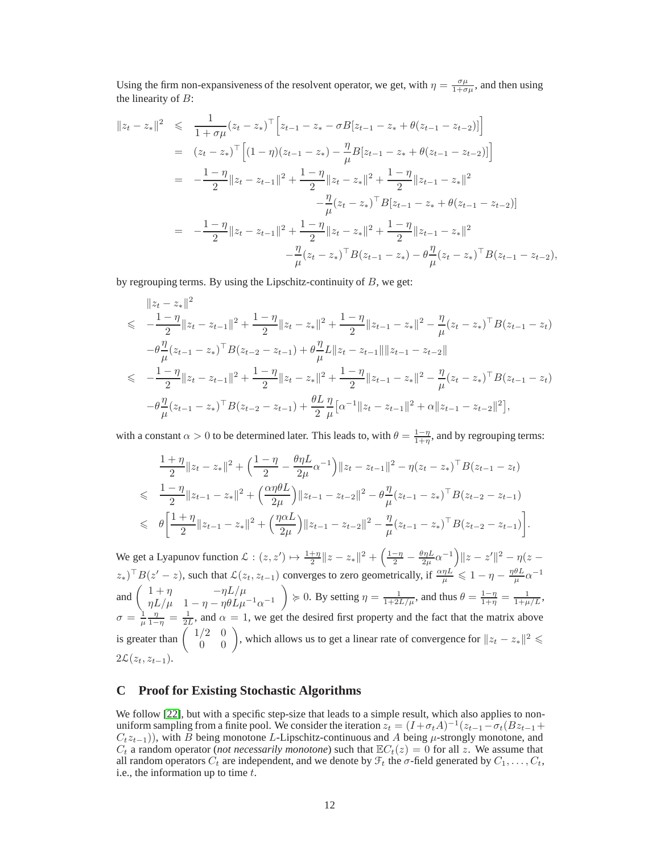Using the firm non-expansiveness of the resolvent operator, we get, with  $\eta = \frac{\sigma \mu}{1 + \sigma \mu}$ , and then using the linearity of  $B$ :

$$
||z_t - z_*||^2 \leq \frac{1}{1 + \sigma\mu}(z_t - z_*)^\top \Big[z_{t-1} - z_* - \sigma B[z_{t-1} - z_* + \theta(z_{t-1} - z_{t-2})]\Big]
$$
  
\n
$$
= (z_t - z_*)^\top \Big[(1 - \eta)(z_{t-1} - z_*) - \frac{\eta}{\mu}B[z_{t-1} - z_* + \theta(z_{t-1} - z_{t-2})]\Big]
$$
  
\n
$$
= -\frac{1 - \eta}{2} ||z_t - z_{t-1}||^2 + \frac{1 - \eta}{2} ||z_t - z_*||^2 + \frac{1 - \eta}{2} ||z_{t-1} - z_*||^2
$$
  
\n
$$
- \frac{\eta}{\mu}(z_t - z_*)^\top B[z_{t-1} - z_* + \theta(z_{t-1} - z_{t-2})]
$$
  
\n
$$
= -\frac{1 - \eta}{2} ||z_t - z_{t-1}||^2 + \frac{1 - \eta}{2} ||z_t - z_*||^2 + \frac{1 - \eta}{2} ||z_{t-1} - z_*||^2
$$
  
\n
$$
- \frac{\eta}{\mu}(z_t - z_*)^\top B(z_{t-1} - z_*) - \theta \frac{\eta}{\mu}(z_t - z_*)^\top B(z_{t-1} - z_{t-2}),
$$

by regrouping terms. By using the Lipschitz-continuity of  $B$ , we get:

$$
\|z_{t}-z_{*}\|^{2}
$$
\n
$$
\leqslant -\frac{1-\eta}{2}\|z_{t}-z_{t-1}\|^{2}+\frac{1-\eta}{2}\|z_{t}-z_{*}\|^{2}+\frac{1-\eta}{2}\|z_{t-1}-z_{*}\|^{2}-\frac{\eta}{\mu}(z_{t}-z_{*})^{\top}B(z_{t-1}-z_{t})
$$
\n
$$
-\theta\frac{\eta}{\mu}(z_{t-1}-z_{*})^{\top}B(z_{t-2}-z_{t-1})+\theta\frac{\eta}{\mu}L\|z_{t}-z_{t-1}\|\|z_{t-1}-z_{t-2}\|
$$
\n
$$
\leqslant -\frac{1-\eta}{2}\|z_{t}-z_{t-1}\|^{2}+\frac{1-\eta}{2}\|z_{t}-z_{*}\|^{2}+\frac{1-\eta}{2}\|z_{t-1}-z_{*}\|^{2}-\frac{\eta}{\mu}(z_{t}-z_{*})^{\top}B(z_{t-1}-z_{t})
$$
\n
$$
-\theta\frac{\eta}{\mu}(z_{t-1}-z_{*})^{\top}B(z_{t-2}-z_{t-1})+\frac{\theta L}{2}\frac{\eta}{\mu}\big[\alpha^{-1}\|z_{t}-z_{t-1}\|^{2}+\alpha\|z_{t-1}-z_{t-2}\|^{2}\big],
$$

with a constant  $\alpha > 0$  to be determined later. This leads to, with  $\theta = \frac{1-\eta}{1+\eta}$ , and by regrouping terms:

$$
\frac{1+\eta}{2} \|z_t - z_*\|^2 + \left(\frac{1-\eta}{2} - \frac{\theta \eta L}{2\mu} \alpha^{-1}\right) \|z_t - z_{t-1}\|^2 - \eta (z_t - z_*)^\top B (z_{t-1} - z_t)
$$
\n
$$
\leq \frac{1-\eta}{2} \|z_{t-1} - z_*\|^2 + \left(\frac{\alpha \eta \theta L}{2\mu}\right) \|z_{t-1} - z_{t-2}\|^2 - \theta \frac{\eta}{\mu} (z_{t-1} - z_*)^\top B (z_{t-2} - z_{t-1})
$$
\n
$$
\leq \theta \left[\frac{1+\eta}{2} \|z_{t-1} - z_*\|^2 + \left(\frac{\eta \alpha L}{2\mu}\right) \|z_{t-1} - z_{t-2}\|^2 - \frac{\eta}{\mu} (z_{t-1} - z_*)^\top B (z_{t-2} - z_{t-1})\right].
$$

We get a Lyapunov function  $\mathcal{L} : (z, z') \mapsto \frac{1+\eta}{2} \|z - z_*\|^2 + \left(\frac{1-\eta}{2} - \frac{\theta \eta L}{2\mu} \alpha^{-1}\right) \|z - z'\|^2 - \eta(z - z')$  $(z_*)^\top B(z'-z)$ , such that  $\mathcal{L}(z_t, z_{t-1})$  converges to zero geometrically, if  $\frac{\alpha \eta L}{\mu} \leq 1 - \eta - \frac{\eta \theta L}{\mu} \alpha^{-1}$ and  $\begin{pmatrix} 1+\eta & -\eta L/\mu \\ \eta L/\mu & 1-\eta L/\mu \end{pmatrix}$  $\eta L/\mu$   $1 - \eta - \eta \theta L \mu^{-1} \alpha^{-1}$  $\left\{\}\geq 0. \text{ By setting } \eta = \frac{1}{1+2L/\mu} \text{, and thus } \theta = \frac{1-\eta}{1+\eta} = \frac{1}{1+\mu/L}$  $\sigma = \frac{1}{\mu} \frac{\eta}{1-\eta} = \frac{1}{2L}$ , and  $\alpha = 1$ , we get the desired first property and the fact that the matrix above is greater than  $\begin{pmatrix} 1/2 & 0 \\ 0 & 0 \end{pmatrix}$ , which allows us to get a linear rate of convergence for  $||z_t - z_*||^2 \leq$  $2\mathcal{L}(z_t, z_{t-1}).$ 

# <span id="page-11-0"></span>**C Proof for Existing Stochastic Algorithms**

We follow [\[22\]](#page-8-21), but with a specific step-size that leads to a simple result, which also applies to nonuniform sampling from a finite pool. We consider the iteration  $z_t = (I + \sigma_t A)^{-1} (z_{t-1} - \sigma_t (Bz_{t-1} +$  $C_t z_{t-1}$ )), with B being monotone L-Lipschitz-continuous and A being  $\mu$ -strongly monotone, and  $C_t$  a random operator (*not necessarily monotone*) such that  $\mathbb{E}C_t(z) = 0$  for all z. We assume that all random operators  $C_t$  are independent, and we denote by  $\mathcal{F}_t$  the  $\sigma$ -field generated by  $C_1, \ldots, C_t$ , i.e., the information up to time  $t$ .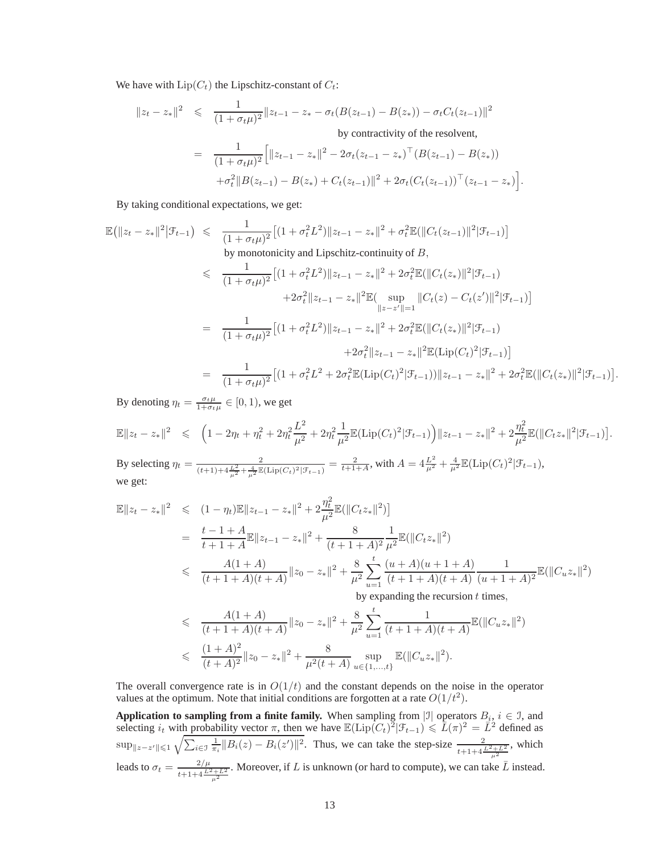We have with  $\text{Lip}(C_t)$  the Lipschitz-constant of  $C_t$ :

$$
||z_t - z_*||^2 \leq \frac{1}{(1 + \sigma_t \mu)^2} ||z_{t-1} - z_* - \sigma_t (B(z_{t-1}) - B(z_*)) - \sigma_t C_t (z_{t-1})||^2
$$
  
by contractivity of the resolvent,  

$$
= \frac{1}{(1 + \sigma_t \mu)^2} \Big[ ||z_{t-1} - z_*||^2 - 2\sigma_t (z_{t-1} - z_*)^\top (B(z_{t-1}) - B(z_*))
$$

$$
+ \sigma_t^2 ||B(z_{t-1}) - B(z_*) + C_t (z_{t-1})||^2 + 2\sigma_t (C_t (z_{t-1}))^\top (z_{t-1} - z_*) \Big].
$$

By taking conditional expectations, we get:

$$
\mathbb{E}(\|z_t - z_*\|^2 |\mathcal{F}_{t-1}) \leq \frac{1}{(1 + \sigma_t \mu)^2} \left[ (1 + \sigma_t^2 L^2) \|z_{t-1} - z_*\|^2 + \sigma_t^2 \mathbb{E}(\|C_t(z_{t-1})\|^2 |\mathcal{F}_{t-1}) \right]
$$
\nby monotonicity and Lipschitz-continuity of  $B$ ,  
\n
$$
\leq \frac{1}{(1 + \sigma_t \mu)^2} \left[ (1 + \sigma_t^2 L^2) \|z_{t-1} - z_*\|^2 + 2 \sigma_t^2 \mathbb{E}(\|C_t(z_*)\|^2 |\mathcal{F}_{t-1}) + 2 \sigma_t^2 \|z_{t-1} - z_*\|^2 \mathbb{E}(\sup_{\|z - z'\| = 1} \|C_t(z) - C_t(z')\|^2 |\mathcal{F}_{t-1}) \right]
$$
\n
$$
= \frac{1}{(1 + \sigma_t \mu)^2} \left[ (1 + \sigma_t^2 L^2) \|z_{t-1} - z_*\|^2 + 2 \sigma_t^2 \mathbb{E}(\|C_t(z_*)\|^2 |\mathcal{F}_{t-1}) + 2 \sigma_t^2 \|z_{t-1} - z_*\|^2 \mathbb{E}(\text{Lip}(C_t)^2 |\mathcal{F}_{t-1}) \right]
$$
\n
$$
= \frac{1}{(1 + \sigma_t \mu)^2} \left[ (1 + \sigma_t^2 L^2 + 2 \sigma_t^2 \mathbb{E}(\text{Lip}(C_t)^2 |\mathcal{F}_{t-1})) \|z_{t-1} - z_*\|^2 + 2 \sigma_t^2 \mathbb{E}(\|C_t(z_*)\|^2 |\mathcal{F}_{t-1}) \right]
$$

By denoting  $\eta_t = \frac{\sigma_t \mu}{1 + \sigma_t \mu} \in [0, 1)$ , we get

$$
\mathbb{E}\|z_t - z_*\|^2 \leq (1 - 2\eta_t + \eta_t^2 + 2\eta_t^2 \frac{L^2}{\mu^2} + 2\eta_t^2 \frac{1}{\mu^2} \mathbb{E}(\text{Lip}(C_t)^2 | \mathcal{F}_{t-1})\Big) \|z_{t-1} - z_*\|^2 + 2\frac{\eta_t^2}{\mu^2} \mathbb{E}(\|C_t z_*\|^2 | \mathcal{F}_{t-1})\Big).
$$

By selecting  $\eta_t = \frac{2}{(t+1)+4\frac{L^2}{\mu^2}+\frac{4}{\mu^2}\mathbb{E}(\text{Lip}(C_t)^2|\mathcal{F}_{t-1})} = \frac{2}{t+1+A}$ , with  $A = 4\frac{L^2}{\mu^2}+\frac{4}{\mu^2}\mathbb{E}(\text{Lip}(C_t)^2|\mathcal{F}_{t-1})$ , we get:

$$
\mathbb{E}||z_t - z_*||^2 \leq (1 - \eta_t)\mathbb{E}||z_{t-1} - z_*||^2 + 2\frac{\eta_t^2}{\mu^2}\mathbb{E}(\|C_t z_*\|^2) \n= \frac{t - 1 + A}{t + 1 + A}\mathbb{E}||z_{t-1} - z_*||^2 + \frac{8}{(t + 1 + A)^2}\frac{1}{\mu^2}\mathbb{E}(\|C_t z_*\|^2) \n\leq \frac{A(1 + A)}{(t + 1 + A)(t + A)}||z_0 - z_*||^2 + \frac{8}{\mu^2}\sum_{u=1}^t\frac{(u + A)(u + 1 + A)}{(t + 1 + A)(t + A)}\frac{1}{(u + 1 + A)^2}\mathbb{E}(\|C_u z_*\|^2)
$$

by expanding the recursion  $t$  times,

.

$$
\leq \frac{A(1+A)}{(t+1+A)(t+A)} \|z_0 - z_*\|^2 + \frac{8}{\mu^2} \sum_{u=1}^t \frac{1}{(t+1+A)(t+A)} \mathbb{E}(\|C_u z_*\|^2)
$$
  

$$
\leq \frac{(1+A)^2}{(t+A)^2} \|z_0 - z_*\|^2 + \frac{8}{\mu^2(t+A)} \sup_{u \in \{1,\dots,t\}} \mathbb{E}(\|C_u z_*\|^2).
$$

The overall convergence rate is in  $O(1/t)$  and the constant depends on the noise in the operator values at the optimum. Note that initial conditions are forgotten at a rate  $O(1/t^2)$ .

**Application to sampling from a finite family.** When sampling from  $|\mathcal{I}|$  operators  $B_i$ ,  $i \in \mathcal{I}$ , and selecting  $i_t$  with probability vector  $\pi$ , then we have  $\mathbb{E}(\text{Lip}(C_t)^2|\mathcal{F}_{t-1}) \leq \overline{L}(\pi)^2 = \overline{L}^2$  defined as  $\sup_{\|z-z'\|\leqslant 1} \sqrt{\sum_{i\in\mathfrak{I}} \frac{1}{\pi_i} \|B_i(z) - B_i(z')\|^2}$ . Thus, we can take the step-size  $\frac{2}{t+1+4\frac{L^2+L^2}{\mu^2}}$ , which leads to  $\sigma_t = \frac{2/\mu}{t+1+4\frac{L^2+L^2}{\mu^2}}$ . Moreover, if L is unknown (or hard to compute), we can take  $\bar{L}$  instead.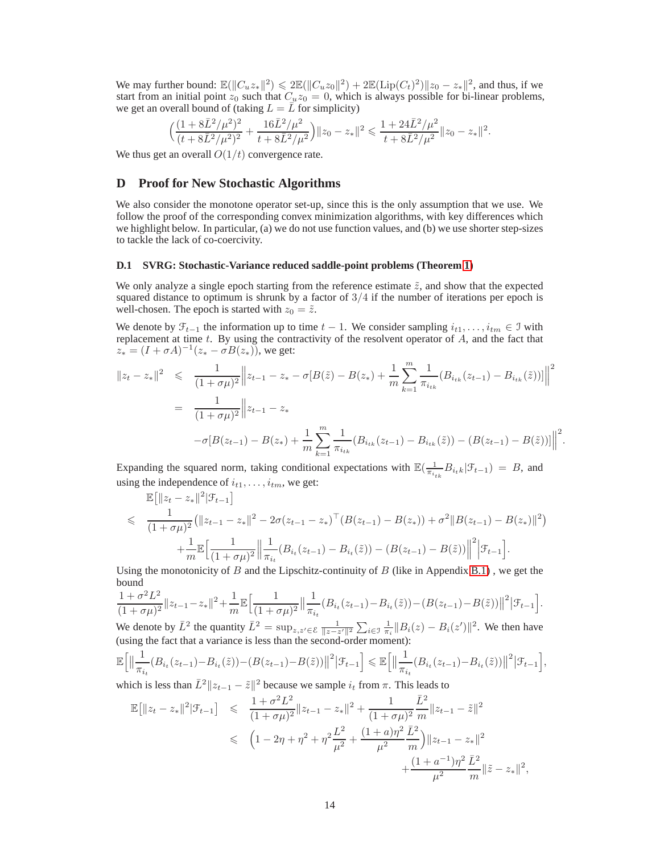We may further bound:  $\mathbb{E}(\|C_u z_*\|^2) \leq 2 \mathbb{E}(\|C_u z_0\|^2) + 2 \mathbb{E}(\text{Lip}(C_t)^2) \|z_0 - z_*\|^2$ , and thus, if we start from an initial point  $z_0$  such that  $C_u z_0 = 0$ , which is always possible for bi-linear problems, we get an overall bound of (taking  $L = \overline{L}$  for simplicity)

$$
\Big( \frac{(1+8\bar{L}^2/\mu^2)^2}{(t+8\bar{L}^2/\mu^2)^2} + \frac{16\bar{L}^2/\mu^2}{t+8\bar{L}^2/\mu^2} \Big) \|z_0-z_*\|^2 \leqslant \frac{1+24\bar{L}^2/\mu^2}{t+8\bar{L}^2/\mu^2} \|z_0-z_*\|^2.
$$

We thus get an overall  $O(1/t)$  convergence rate.

# **D Proof for New Stochastic Algorithms**

We also consider the monotone operator set-up, since this is the only assumption that we use. We follow the proof of the corresponding convex minimization algorithms, with key differences which we highlight below. In particular, (a) we do not use function values, and (b) we use shorter step-sizes to tackle the lack of co-coercivity.

### <span id="page-13-0"></span>**D.1 SVRG: Stochastic-Variance reduced saddle-point problems (Theorem [1\)](#page-4-2)**

We only analyze a single epoch starting from the reference estimate  $\tilde{z}$ , and show that the expected squared distance to optimum is shrunk by a factor of  $3/4$  if the number of iterations per epoch is well-chosen. The epoch is started with  $z_0 = \tilde{z}$ .

We denote by  $\mathcal{F}_{t-1}$  the information up to time  $t-1$ . We consider sampling  $i_{t1}, \ldots, i_{tm} \in \mathcal{I}$  with replacement at time  $t$ . By using the contractivity of the resolvent operator of  $A$ , and the fact that  $z_* = (I + \sigma A)^{-1} (z_* - \sigma B(z_*)),$  we get:

$$
||z_t - z_*||^2 \leq \frac{1}{(1 + \sigma \mu)^2} ||z_{t-1} - z_* - \sigma[B(\tilde{z}) - B(z_*) + \frac{1}{m} \sum_{k=1}^m \frac{1}{\pi_{i_{tk}}} (B_{i_{tk}}(z_{t-1}) - B_{i_{tk}}(\tilde{z}))] \Big\|^2
$$
  
= 
$$
\frac{1}{(1 + \sigma \mu)^2} ||z_{t-1} - z_* - \sigma[B(z_{t-1}) - B(z_*) + \frac{1}{m} \sum_{k=1}^m \frac{1}{\pi_{i_{tk}}} (B_{i_{tk}}(z_{t-1}) - B_{i_{tk}}(\tilde{z})) - (B(z_{t-1}) - B(\tilde{z}))] \Big\|^2
$$

.

Expanding the squared norm, taking conditional expectations with  $\mathbb{E}(\frac{1}{\pi_{i_{tk}}}B_{i_{t}k}|\mathcal{F}_{t-1}) = B$ , and using the independence of  $i_{t1}, \ldots, i_{tm}$ , we get:

$$
\mathbb{E}\left[\|z_t - z_*\|^2|\mathcal{F}_{t-1}\right]
$$
\n
$$
\leq \frac{1}{(1+\sigma\mu)^2} \left(\|z_{t-1} - z_*\|^2 - 2\sigma(z_{t-1} - z_*)^\top (B(z_{t-1}) - B(z_*)) + \sigma^2 \|B(z_{t-1}) - B(z_*)\|^2\right)
$$
\n
$$
+ \frac{1}{m} \mathbb{E}\left[\frac{1}{(1+\sigma\mu)^2}\left\|\frac{1}{\pi_{i_t}}(B_{i_t}(z_{t-1}) - B_{i_t}(\tilde{z})) - (B(z_{t-1}) - B(\tilde{z}))\right\|^2\right] \mathcal{F}_{t-1}.
$$

Using the monotonicity of B and the Lipschitz-continuity of B (like in Appendix [B.1\)](#page-10-0), we get the bound

$$
\frac{1+\sigma^2 L^2}{(1+\sigma\mu)^2} \|z_{t-1}-z_*\|^2 + \frac{1}{m} \mathbb{E}\Big[\frac{1}{(1+\sigma\mu)^2} \Big\|\frac{1}{\pi_{i_t}}(B_{i_t}(z_{t-1})-B_{i_t}(\tilde{z})) - (B(z_{t-1})-B(\tilde{z}))\|^2 \Big|\mathcal{F}_{t-1}\Big].
$$

We denote by  $\bar{L}^2$  the quantity  $\bar{L}^2 = \sup_{z,z' \in \mathcal{E}} \frac{1}{\|z-z'\|^2} \sum_{i \in \mathcal{I}} \frac{1}{\pi_i} \|B_i(z) - B_i(z') \|^2$ . We then have (using the fact that a variance is less than the second-order moment):

$$
\mathbb{E}\Big[\big\|\frac{1}{\pi_{i_t}}(B_{i_t}(z_{t-1})-B_{i_t}(\tilde{z}))-(B(z_{t-1})-B(\tilde{z}))\big\|^2\big|\mathcal{F}_{t-1}\Big] \leq \mathbb{E}\Big[\big\|\frac{1}{\pi_{i_t}}(B_{i_t}(z_{t-1})-B_{i_t}(\tilde{z}))\big\|^2\big|\mathcal{F}_{t-1}\Big],
$$

which is less than  $\bar{L}^2 ||z_{t-1} - \tilde{z}||^2$  because we sample  $i_t$  from  $\pi$ . This leads to

$$
\mathbb{E}[\|z_t - z_*\|^2 |\mathcal{F}_{t-1}] \leq \frac{1 + \sigma^2 L^2}{(1 + \sigma \mu)^2} \|z_{t-1} - z_*\|^2 + \frac{1}{(1 + \sigma \mu)^2} \frac{\bar{L}^2}{m} \|z_{t-1} - \tilde{z}\|^2
$$
  

$$
\leq (1 - 2\eta + \eta^2 + \eta^2 \frac{L^2}{\mu^2} + \frac{(1 + a)\eta^2 \bar{L}^2}{\mu^2} \frac{\bar{L}^2}{m} \|z_{t-1} - z_*\|^2
$$
  

$$
+ \frac{(1 + a^{-1})\eta^2 \bar{L}^2}{\mu^2} \frac{\bar{L}^2}{m} \|\tilde{z} - z_*\|^2,
$$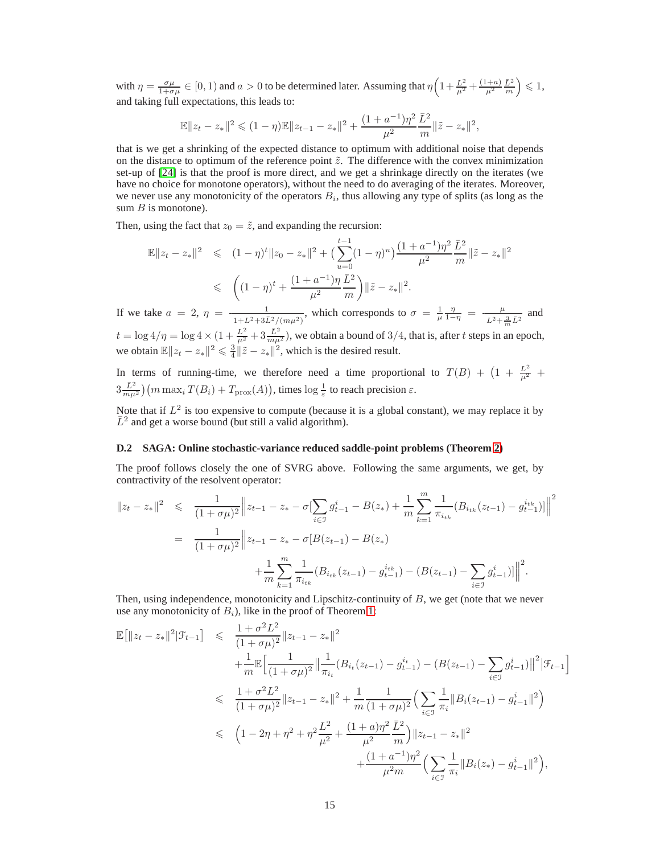with  $\eta = \frac{\sigma \mu}{1 + \sigma \mu} \in [0, 1)$  and  $a > 0$  to be determined later. Assuming that  $\eta \left(1 + \frac{L^2}{\mu^2} + \frac{(1+a)}{\mu^2} \frac{\bar{L}^2}{m}\right) \leq 1$ , and taking full expectations, this leads to:

$$
\mathbb{E}||z_t - z_*||^2 \leq (1 - \eta)\mathbb{E}||z_{t-1} - z_*||^2 + \frac{(1 + a^{-1})\eta^2}{\mu^2}\frac{\bar{L}^2}{m}||\tilde{z} - z_*||^2,
$$

that is we get a shrinking of the expected distance to optimum with additional noise that depends on the distance to optimum of the reference point  $\tilde{z}$ . The difference with the convex minimization set-up of [\[24\]](#page-8-23) is that the proof is more direct, and we get a shrinkage directly on the iterates (we have no choice for monotone operators), without the need to do averaging of the iterates. Moreover, we never use any monotonicity of the operators  $B_i$ , thus allowing any type of splits (as long as the sum  $B$  is monotone).

Then, using the fact that  $z_0 = \tilde{z}$ , and expanding the recursion:

$$
\mathbb{E}||z_t - z_*||^2 \leq (1 - \eta)^t ||z_0 - z_*||^2 + \left(\sum_{u=0}^{t-1} (1 - \eta)^u\right) \frac{(1 + a^{-1})\eta^2}{\mu^2} \frac{\bar{L}^2}{m} ||\tilde{z} - z_*||^2
$$
  

$$
\leq \left((1 - \eta)^t + \frac{(1 + a^{-1})\eta}{\mu^2} \frac{\bar{L}^2}{m}\right) ||\tilde{z} - z_*||^2.
$$

If we take  $a = 2$ ,  $\eta = \frac{1}{1 + L^2 + 3\bar{L}^2/(m\mu^2)}$ , which corresponds to  $\sigma = \frac{1}{\mu} \frac{\eta}{1 - \eta} = \frac{\mu}{L^2 + \frac{3}{m}\bar{L}^2}$  and  $t = \log 4/\eta = \log 4 \times (1 + \frac{L^2}{\mu^2} + 3 \frac{\bar{L}^2}{m\mu^2})$ , we obtain a bound of 3/4, that is, after t steps in an epoch, we obtain  $\mathbb{E} \|z_t - z_*\|^2 \leq \frac{3}{4} \|\tilde{z} - z_*\|^2$ , which is the desired result.

In terms of running-time, we therefore need a time proportional to  $T(B) + \left(1 + \frac{L^2}{\mu^2}\right)$  $3\frac{\bar{L}^2}{m\mu^2}\big)\big(m\max_i T(B_i) + T_{\mathrm{prox}}(A)\big),$  times  $\log\frac{1}{\varepsilon}$  to reach precision  $\varepsilon.$ 

Note that if  $L^2$  is too expensive to compute (because it is a global constant), we may replace it by  $\bar{L}^2$  and get a worse bound (but still a valid algorithm).

### <span id="page-14-0"></span>**D.2 SAGA: Online stochastic-variance reduced saddle-point problems (Theorem [2\)](#page-5-2)**

The proof follows closely the one of SVRG above. Following the same arguments, we get, by contractivity of the resolvent operator:

$$
||z_t - z_*||^2 \leq \frac{1}{(1 + \sigma \mu)^2} ||z_{t-1} - z_* - \sigma[\sum_{i \in \mathcal{I}} g_{t-1}^i - B(z_*) + \frac{1}{m} \sum_{k=1}^m \frac{1}{\pi_{i_{tk}}} (B_{i_{tk}}(z_{t-1}) - g_{t-1}^{i_{tk}})]] \Big|^2
$$
  
= 
$$
\frac{1}{(1 + \sigma \mu)^2} ||z_{t-1} - z_* - \sigma[B(z_{t-1}) - B(z_*) + \frac{1}{m} \sum_{k=1}^m \frac{1}{\pi_{i_{tk}}} (B_{i_{tk}}(z_{t-1}) - g_{t-1}^{i_{tk}}) - (B(z_{t-1}) - \sum_{i \in \mathcal{I}} g_{t-1}^i)]] \Big|^2.
$$

Then, using independence, monotonicity and Lipschitz-continuity of  $B$ , we get (note that we never use any monotonicity of  $B_i$ ), like in the proof of Theorem [1:](#page-4-2)

$$
\mathbb{E}[\|z_t - z_*\|^2 |\mathcal{F}_{t-1}] \leq \frac{1 + \sigma^2 L^2}{(1 + \sigma \mu)^2} \|z_{t-1} - z_*\|^2 \n+ \frac{1}{m} \mathbb{E} \Big[ \frac{1}{(1 + \sigma \mu)^2} \Big\| \frac{1}{\pi_{i_t}} (B_{i_t}(z_{t-1}) - g_{t-1}^{i_t}) - (B(z_{t-1}) - \sum_{i \in \mathcal{I}} g_{t-1}^i) \Big\|^2 |\mathcal{F}_{t-1} \Big] \n\leq \frac{1 + \sigma^2 L^2}{(1 + \sigma \mu)^2} \|z_{t-1} - z_*\|^2 + \frac{1}{m} \frac{1}{(1 + \sigma \mu)^2} \Big( \sum_{i \in \mathcal{I}} \frac{1}{\pi_i} \|B_i(z_{t-1}) - g_{t-1}^i\|^2 \Big) \n\leq (1 - 2\eta + \eta^2 + \eta^2 \frac{L^2}{\mu^2} + \frac{(1 + a)\eta^2}{\mu^2} \frac{\bar{L}^2}{m} \Big) \|z_{t-1} - z_*\|^2 \n+ \frac{(1 + a^{-1})\eta^2}{\mu^2 m} \Big( \sum_{i \in \mathcal{I}} \frac{1}{\pi_i} \|B_i(z_*) - g_{t-1}^i\|^2 \Big),
$$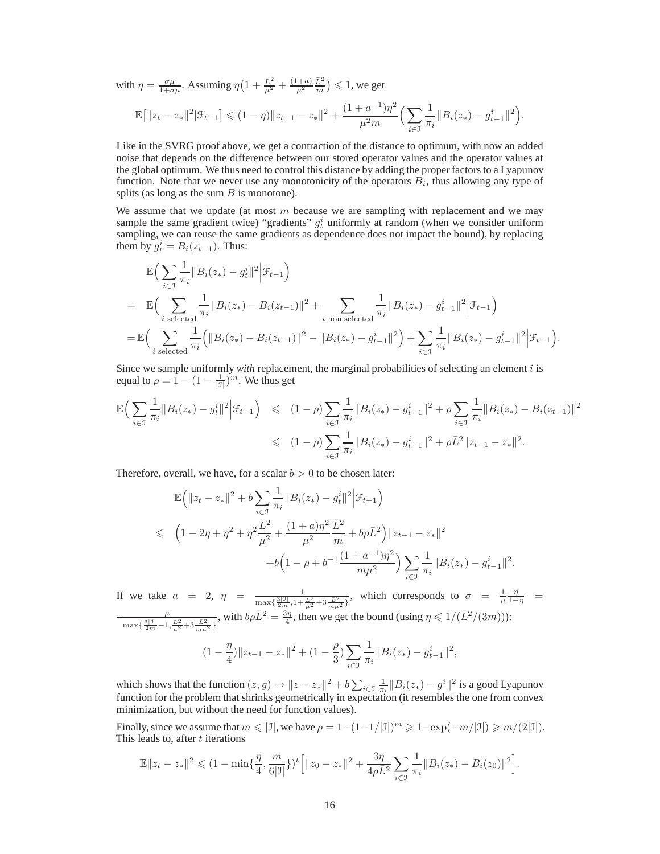with  $\eta = \frac{\sigma \mu}{1 + \sigma \mu}$ . Assuming  $\eta \left( 1 + \frac{L^2}{\mu^2} + \frac{(1 + a)}{\mu^2} \frac{\bar{L}^2}{m} \right) \leq 1$ , we get  $\mathbb{E} \big[ \|z_t - z_*\|^2 | \mathcal{F}_{t-1} \big] \leqslant (1 - \eta) \|z_{t-1} - z_*\|^2 + \frac{(1 + a^{-1})\eta^2}{\mu^2 m}$  $\mu^2m$  $(\nabla)$ i∈I 1  $\frac{1}{\pi_i} \|B_i(z_*) - g_{t-1}^i\|^2.$ 

Like in the SVRG proof above, we get a contraction of the distance to optimum, with now an added noise that depends on the difference between our stored operator values and the operator values at the global optimum. We thus need to control this distance by adding the proper factors to a Lyapunov function. Note that we never use any monotonicity of the operators  $B_i$ , thus allowing any type of splits (as long as the sum  $B$  is monotone).

We assume that we update (at most  $m$  because we are sampling with replacement and we may sample the same gradient twice) "gradients"  $g_t^i$  uniformly at random (when we consider uniform sampling, we can reuse the same gradients as dependence does not impact the bound), by replacing them by  $g_t^i = B_i(z_{t-1})$ . Thus:

$$
\mathbb{E}\Big(\sum_{i\in\mathcal{I}}\frac{1}{\pi_i}||B_i(z_*)-g_t^i||^2\Big|\mathcal{F}_{t-1}\Big)
$$
\n
$$
=\mathbb{E}\Big(\sum_{i\text{ selected}}\frac{1}{\pi_i}||B_i(z_*)-B_i(z_{t-1})||^2+\sum_{i\text{ non selected}}\frac{1}{\pi_i}||B_i(z_*)-g_{t-1}^i||^2\Big|\mathcal{F}_{t-1}\Big)
$$
\n
$$
=\mathbb{E}\Big(\sum_{i\text{ selected}}\frac{1}{\pi_i}\Big(||B_i(z_*)-B_i(z_{t-1})||^2-||B_i(z_*)-g_{t-1}^i||^2\Big)+\sum_{i\in\mathcal{I}}\frac{1}{\pi_i}||B_i(z_*)-g_{t-1}^i||^2\Big|\mathcal{F}_{t-1}\Big).
$$

Since we sample uniformly *with* replacement, the marginal probabilities of selecting an element i is equal to  $\rho = \hat{1} - (1 - \frac{1}{|\mathcal{I}|})^m$ . We thus get

$$
\mathbb{E}\Big(\sum_{i\in\mathcal{I}}\frac{1}{\pi_i}||B_i(z_*) - g_t^i||^2\Big|\mathcal{F}_{t-1}\Big) \leq (1-\rho)\sum_{i\in\mathcal{I}}\frac{1}{\pi_i}||B_i(z_*) - g_{t-1}^i||^2 + \rho\sum_{i\in\mathcal{I}}\frac{1}{\pi_i}||B_i(z_*) - B_i(z_{t-1})||^2
$$
  

$$
\leq (1-\rho)\sum_{i\in\mathcal{I}}\frac{1}{\pi_i}||B_i(z_*) - g_{t-1}^i||^2 + \rho\overline{L}^2||z_{t-1} - z_*||^2.
$$

Therefore, overall, we have, for a scalar  $b > 0$  to be chosen later:

$$
\mathbb{E}\Big(\|z_t - z_*\|^2 + b \sum_{i \in \mathcal{I}} \frac{1}{\pi_i} \|B_i(z_*) - g_t^i\|^2 \Big|\mathcal{F}_{t-1}\Big)
$$
  
\$\leqslant \left(1 - 2\eta + \eta^2 + \eta^2 \frac{L^2}{\mu^2} + \frac{(1+a)\eta^2}{\mu^2} \frac{\bar{L}^2}{m} + b\rho \bar{L}^2\right) \|z\_{t-1} - z\_\*\|^2\$  
+ b\Big(1 - \rho + b^{-1} \frac{(1+a^{-1})\eta^2}{m\mu^2}\Big) \sum\_{i \in \mathcal{I}} \frac{1}{\pi\_i} \|B\_i(z\_\*) - g\_{t-1}^i\|^2.

If we take  $a = 2, \eta = \frac{1}{(3(3)(1))}$  $\frac{3|3|}{2m}, \frac{1}{1+\frac{L^2}{\mu^2}+3\frac{\bar{L}^2}{m\mu^2}}$ , which corresponds to  $\sigma = \frac{1}{\mu} \frac{\eta}{1-\eta}$  $\frac{\mu}{\max\{\frac{3|\mathbb{I}|}{2m}-1,\frac{L^2}{\mu^2}+3\frac{\bar{L}^2}{m\mu^2}\}}$ , with  $b\rho \bar{L}^2 = \frac{3\eta}{4}$ , then we get the bound (using  $\eta \leq 1/(\bar{L}^2/(3m))$ ):  $(1-\frac{\eta}{4})$  $\frac{\eta}{4}$ ) ||  $z_{t-1} - z_*$  ||  $^2 + (1 - \frac{\rho}{3})$  $\frac{\rho}{3}$ )  $\sum_{i \in \mathbb{Z}}$ i∈I 1  $\frac{1}{\pi_i} \|B_i(z_*) - g_{t-1}^i\|^2,$ 

which shows that the function  $(z, g) \mapsto ||z - z_*||^2 + b \sum_{i \in \mathcal{I}} \frac{1}{\pi_i} ||B_i(z_*) - g^i||^2$  is a good Lyapunov function for the problem that shrinks geometrically in expectation (it resembles the one from convex minimization, but without the need for function values).

Finally, since we assume that  $m \leq |\mathcal{I}|$ , we have  $\rho = 1 - (1 - 1/|\mathcal{I}|)^m \geq 1 - \exp(-m/|\mathcal{I}|) \geq m/(2|\mathcal{I}|)$ . This leads to, after t iterations

$$
\mathbb{E}||z_t - z_*||^2 \leq (1 - \min\{\frac{\eta}{4}, \frac{m}{6|\mathcal{I}|}\}\)^t \Big[||z_0 - z_*||^2 + \frac{3\eta}{4\rho\bar{L}^2} \sum_{i \in \mathcal{I}} \frac{1}{\pi_i}||B_i(z_*) - B_i(z_0)||^2\Big].
$$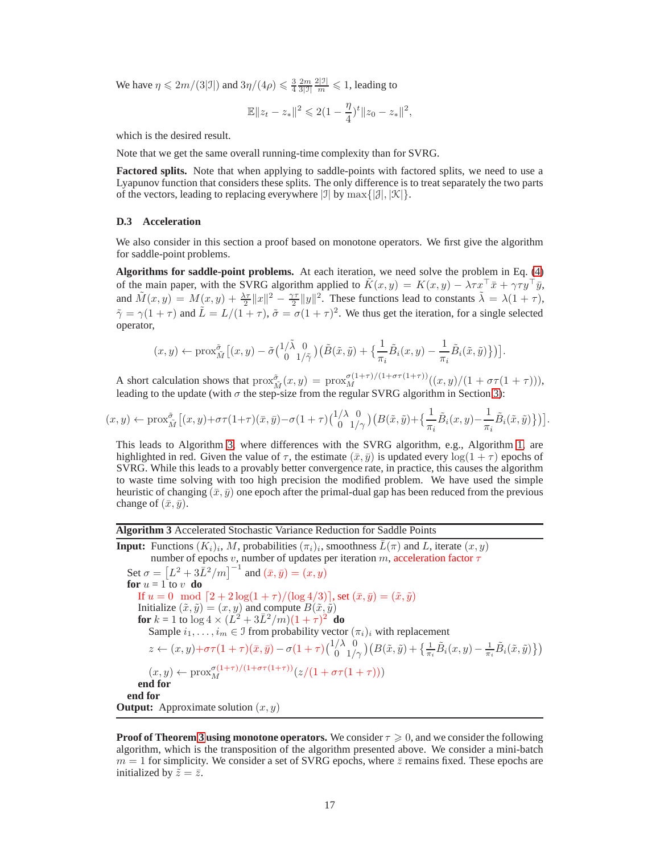We have  $\eta \leq 2m/(3|J|)$  and  $3\eta/(4\rho) \leq \frac{3}{4} \frac{2m}{3|J|}$  $\frac{2|J|}{m} \leqslant 1$ , leading to

$$
\mathbb{E}||z_t - z_*||^2 \leq 2(1 - \frac{\eta}{4})^t ||z_0 - z_*||^2,
$$

which is the desired result.

Note that we get the same overall running-time complexity than for SVRG.

**Factored splits.** Note that when applying to saddle-points with factored splits, we need to use a Lyapunov function that considers these splits. The only difference is to treat separately the two parts of the vectors, leading to replacing everywhere  $|\mathcal{I}|$  by  $\max\{|\mathcal{J}|, |\mathcal{K}|\}.$ 

### <span id="page-16-0"></span>**D.3 Acceleration**

We also consider in this section a proof based on monotone operators. We first give the algorithm for saddle-point problems.

**Algorithms for saddle-point problems.** At each iteration, we need solve the problem in Eq. [\(4\)](#page-5-3) of the main paper, with the SVRG algorithm applied to  $\tilde{K}(x, y) = K(x, y) - \lambda \tau x^{\top} \bar{x} + \gamma \tau y^{\top} \bar{y}$ , and  $\tilde{M}(x,y) = M(x,y) + \frac{\lambda \tau}{2} ||x||^2 - \frac{\gamma \tau}{2} ||y||^2$ . These functions lead to constants  $\tilde{\lambda} = \lambda(1 + \tau)$ ,  $\tilde{\gamma} = \gamma(1+\tau)$  and  $\tilde{L} = L/(1+\tau)$ ,  $\tilde{\sigma} = \sigma(1+\tau)^2$ . We thus get the iteration, for a single selected operator,

$$
(x,y) \leftarrow \text{prox}_{\tilde{M}}^{\tilde{\sigma}} \left[ (x,y) - \tilde{\sigma} \begin{pmatrix} 1/\tilde{\lambda} & 0 \\ 0 & 1/\tilde{\gamma} \end{pmatrix} \left( \tilde{B}(\tilde{x}, \tilde{y}) + \left\{ \frac{1}{\pi_i} \tilde{B}_i(x,y) - \frac{1}{\pi_i} \tilde{B}_i(\tilde{x}, \tilde{y}) \right\} \right) \right].
$$

A short calculation shows that  $prox_{\tilde{M}}^{\tilde{\sigma}}(x, y) = prox_{M}^{\sigma(1+\tau)/(1+\sigma\tau(1+\tau))} ((x, y)/(1+\sigma\tau(1+\tau))),$ leading to the update (with  $\sigma$  the step-size from the regular SVRG algorithm in Section [3\)](#page-4-3):

$$
(x,y) \leftarrow \text{prox}_{\tilde{M}}^{\tilde{\sigma}} \left[ (x,y) + \sigma \tau (1+\tau)(\bar{x},\bar{y}) - \sigma (1+\tau) \begin{pmatrix} 1/\lambda & 0 \\ 0 & 1/\gamma \end{pmatrix} \left( B(\tilde{x},\tilde{y}) + \left\{ \frac{1}{\pi_i} \tilde{B}_i(x,y) - \frac{1}{\pi_i} \tilde{B}_i(\tilde{x},\tilde{y}) \right\} \right) \right].
$$

This leads to Algorithm [3,](#page-16-1) where differences with the SVRG algorithm, e.g., Algorithm [1,](#page-5-1) are highlighted in red. Given the value of  $\tau$ , the estimate  $(\bar{x}, \bar{y})$  is updated every  $\log(1 + \tau)$  epochs of SVRG. While this leads to a provably better convergence rate, in practice, this causes the algorithm to waste time solving with too high precision the modified problem. We have used the simple heuristic of changing  $(\bar{x}, \bar{y})$  one epoch after the primal-dual gap has been reduced from the previous change of  $(\bar{x}, \bar{y})$ .

### <span id="page-16-1"></span>**Algorithm 3** Accelerated Stochastic Variance Reduction for Saddle Points

**Input:** Functions  $(K_i)_i$ , M, probabilities  $(\pi_i)_i$ , smoothness  $\overline{L}(\pi)$  and L, iterate  $(x, y)$ , M, probabilities  $(\pi_i)_i$ number of epochs v, number of updates per iteration m, acceleration factor  $\tau$ Set  $\sigma = [L^2 + 3\overline{L}^2/m]^{-1}$  and  $(\overline{x}, \overline{y}) = (x, y)$ **for**  $u = 1$  to  $v$  **do** If  $u = 0 \mod [2 + 2 \log(1 + \tau) / (\log 4/3)]$ , set  $(\bar{x}, \bar{y}) = (\tilde{x}, \tilde{y})$ Initialize  $(\tilde{x}, \tilde{y}) = (x, y)$  and compute  $B(\tilde{x}, \tilde{y})$ **for**  $k = 1$  to  $\log 4 \times (L^2 + 3L^2/m)(1 + \tau)^2$  **do** Sample  $i_1, \ldots, i_m \in \mathcal{I}$  from probability vector  $(\pi_i)_i$  with replacement  $z \leftarrow (x, y) + \sigma\tau(1+\tau)(\bar{x}, \bar{y}) - \sigma(1+\tau){\binom{1/\lambda-0}{0}}\left(B(\tilde{x}, \tilde{y}) + \left\{\frac{1}{\pi_i}\tilde{B}_i(x, y) - \frac{1}{\pi_i}\tilde{B}_i(\tilde{x}, \tilde{y})\right\}\right)$  $(x, y) \leftarrow \text{prox}_{M}^{\sigma(1+\tau)/(1+\sigma\tau(1+\tau))}(z/(1+\sigma\tau(1+\tau)))$ **end for end for Output:** Approximate solution  $(x, y)$ 

**Proof of Theorem [3](#page-6-2) using monotone operators.** We consider  $\tau \geq 0$ , and we consider the following algorithm, which is the transposition of the algorithm presented above. We consider a mini-batch  $m = 1$  for simplicity. We consider a set of SVRG epochs, where  $\bar{z}$  remains fixed. These epochs are initialized by  $\tilde{z} = \bar{z}$ .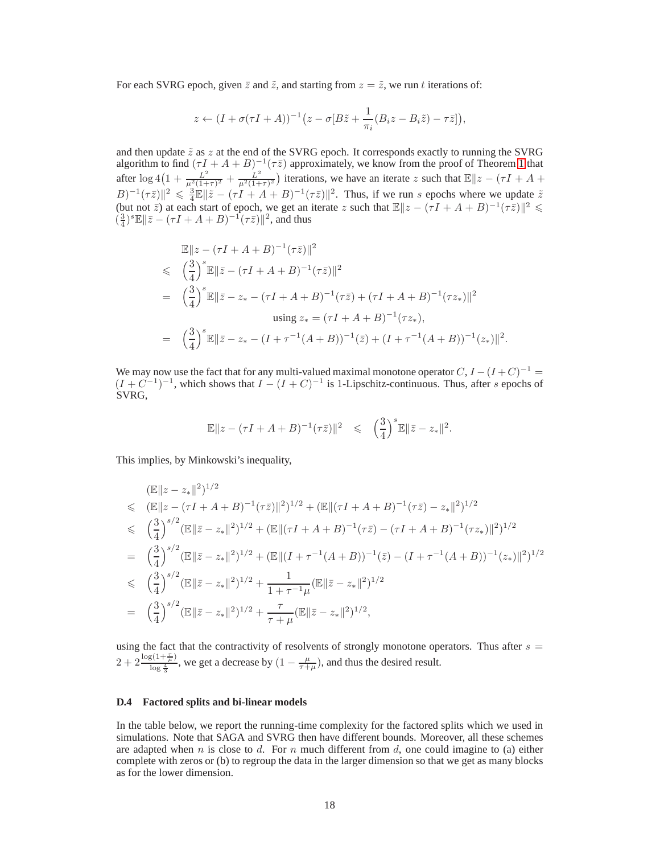For each SVRG epoch, given  $\bar{z}$  and  $\tilde{z}$ , and starting from  $z = \tilde{z}$ , we run t iterations of:

$$
z \leftarrow (I + \sigma(\tau I + A))^{-1} (z - \sigma [B\tilde{z} + \frac{1}{\pi_i} (B_i z - B_i \tilde{z}) - \tau \bar{z}]),
$$

and then update  $\tilde{z}$  as  $z$  at the end of the SVRG epoch. It corresponds exactly to running the SVRG algorithm to find  $(\tau I + A + B)^{-1}(\tau \bar{z})$  approximately, we know from the proof of Theorem [1](#page-4-2) that after  $\log 4(1+\frac{L^2}{\mu^2(1+1)})$  $\frac{L^2}{\mu^2(1+\tau)^2} + \frac{L^2}{\mu^2(1+\tau)}$  $\frac{L^2}{\mu^2(1+\tau)^2}$ ) iterations, we have an iterate z such that  $\mathbb{E}||z - (\tau I + A + \tau I)$  $||B||^2 \leq \frac{3}{4} \mathbb{E} ||\tilde{z} - (\tau I + A + B)^{-1} (\tau \bar{z})||^2$ . Thus, if we run s epochs where we update  $\tilde{z}$ (but not  $\overline{z}$ ) at each start of epoch, we get an iterate z such that  $\mathbb{E}||z - (\tau I + A + B)^{-1}(\tau \overline{z})||^2 \le$  $(\frac{3}{4})^s \mathbb{E} \|\bar{z} - (\tau I + A + B)^{-1} (\tau \bar{z})\|^2$ , and thus

$$
\mathbb{E}||z - (\tau I + A + B)^{-1}(\tau \bar{z})||^2
$$
\n
$$
\leq \left(\frac{3}{4}\right)^s \mathbb{E}||\bar{z} - (\tau I + A + B)^{-1}(\tau \bar{z})||^2
$$
\n
$$
= \left(\frac{3}{4}\right)^s \mathbb{E}||\bar{z} - z_* - (\tau I + A + B)^{-1}(\tau \bar{z}) + (\tau I + A + B)^{-1}(\tau z_*)||^2
$$
\n
$$
\text{using } z_* = (\tau I + A + B)^{-1}(\tau z_*)
$$
\n
$$
= \left(\frac{3}{4}\right)^s \mathbb{E}||\bar{z} - z_* - (I + \tau^{-1}(A + B))^{-1}(\bar{z}) + (I + \tau^{-1}(A + B))^{-1}(z_*)||^2.
$$

We may now use the fact that for any multi-valued maximal monotone operator  $C, I - (I + C)^{-1} =$  $(I + C^{-1})^{-1}$ , which shows that  $I - (I + C)^{-1}$  is 1-Lipschitz-continuous. Thus, after s epochs of SVRG,

$$
\mathbb{E} \|z - (\tau I + A + B)^{-1} (\tau \bar{z})\|^2 \leq \left(\frac{3}{4}\right)^s \mathbb{E} \|\bar{z} - z_*\|^2.
$$

This implies, by Minkowski's inequality,

$$
\begin{split}\n&\mathbb{E}\|z-z_{*}\|^{2})^{1/2} \\
&\leq \quad (\mathbb{E}\|z-(\tau I+A+B)^{-1}(\tau\bar{z})\|^{2})^{1/2} + (\mathbb{E}\|(\tau I+A+B)^{-1}(\tau\bar{z})-z_{*}\|^{2})^{1/2} \\
&\leq \quad \left(\frac{3}{4}\right)^{s/2} (\mathbb{E}\|\bar{z}-z_{*}\|^{2})^{1/2} + (\mathbb{E}\|(\tau I+A+B)^{-1}(\tau\bar{z})-(\tau I+A+B)^{-1}(\tau z_{*})\|^{2})^{1/2} \\
&= \quad \left(\frac{3}{4}\right)^{s/2} (\mathbb{E}\|\bar{z}-z_{*}\|^{2})^{1/2} + (\mathbb{E}\|(I+\tau^{-1}(A+B))^{-1}(\bar{z})-(I+\tau^{-1}(A+B))^{-1}(z_{*})\|^{2})^{1/2} \\
&\leq \quad \left(\frac{3}{4}\right)^{s/2} (\mathbb{E}\|\bar{z}-z_{*}\|^{2})^{1/2} + \frac{1}{1+\tau^{-1}\mu} (\mathbb{E}\|\bar{z}-z_{*}\|^{2})^{1/2} \\
&= \quad \left(\frac{3}{4}\right)^{s/2} (\mathbb{E}\|\bar{z}-z_{*}\|^{2})^{1/2} + \frac{\tau}{\tau+\mu} (\mathbb{E}\|\bar{z}-z_{*}\|^{2})^{1/2},\n\end{split}
$$

using the fact that the contractivity of resolvents of strongly monotone operators. Thus after  $s =$  $2 + 2 \frac{\log(1+\frac{\tau}{\mu})}{\log \frac{4}{\tau}}$  $\frac{g(1+\frac{\mu}{\mu})}{\log \frac{4}{3}}$ , we get a decrease by  $(1-\frac{\mu}{\tau+\mu})$ , and thus the desired result.

### <span id="page-17-0"></span>**D.4 Factored splits and bi-linear models**

In the table below, we report the running-time complexity for the factored splits which we used in simulations. Note that SAGA and SVRG then have different bounds. Moreover, all these schemes are adapted when n is close to d. For n much different from  $d$ , one could imagine to (a) either complete with zeros or (b) to regroup the data in the larger dimension so that we get as many blocks as for the lower dimension.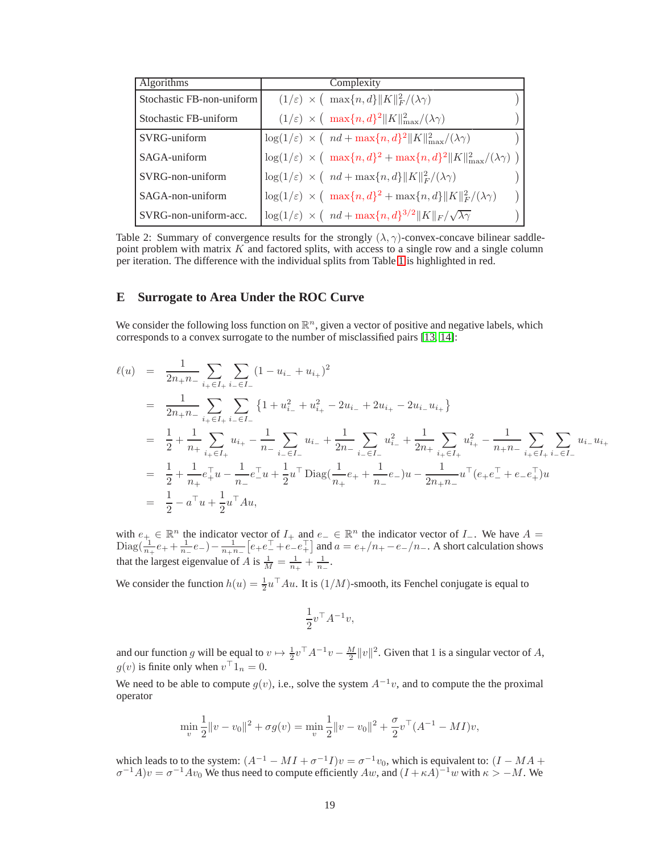| <b>Algorithms</b>         | Complexity                                                                                                         |
|---------------------------|--------------------------------------------------------------------------------------------------------------------|
| Stochastic FB-non-uniform | $(1/\varepsilon) \times ( \max\{n, d\}   K  ^2_F/(\lambda \gamma))$                                                |
| Stochastic FB-uniform     | $(1/\varepsilon) \times ( \max\{n, d\}^2   K  ^2_{\max}/(\lambda \gamma))$                                         |
| SVRG-uniform              | $\log(1/\varepsilon) \times (nd + \max\{n, d\}^2   K  _{\max}^2/(\lambda \gamma))$                                 |
| SAGA-uniform              | $\log(1/\varepsilon) \, \times \, \big( \, \max\{n,d\}^2 + \max\{n,d\}^2 \ K\ ^2_{\max}/(\lambda \gamma) \, \big)$ |
| $SVRG$ -non-uniform       | $\log(1/\varepsilon) \times (nd + \max\{n, d\}   K  ^2_F/(\lambda \gamma))$                                        |
| SAGA-non-uniform          | $\log(1/\varepsilon) \times ( \max\{n,d\}^2 + \max\{n,d\}   K  ^2_F/(\lambda \gamma)$                              |
| SVRG-non-uniform-acc.     | $\log(1/\varepsilon) \times (nd + \max\{n, d\}^{3/2}    K   _F / \sqrt{\lambda \gamma})$                           |

Table 2: Summary of convergence results for the strongly  $(\lambda, \gamma)$ -convex-concave bilinear saddlepoint problem with matrix K and factored splits, with access to a single row and a single column per iteration. The difference with the individual splits from Table [1](#page-4-1) is highlighted in red.

# <span id="page-18-0"></span>**E Surrogate to Area Under the ROC Curve**

We consider the following loss function on  $\mathbb{R}^n$ , given a vector of positive and negative labels, which corresponds to a convex surrogate to the number of misclassified pairs [\[13,](#page-8-12) [14\]](#page-8-13):

$$
\ell(u) = \frac{1}{2n_{+}n_{-}} \sum_{i_{+} \in I_{+}} \sum_{i_{-} \in I_{-}} (1 - u_{i_{-}} + u_{i_{+}})^{2}
$$
\n
$$
= \frac{1}{2n_{+}n_{-}} \sum_{i_{+} \in I_{+}} \sum_{i_{-} \in I_{-}} \{1 + u_{i_{-}}^{2} + u_{i_{+}}^{2} - 2u_{i_{-}} + 2u_{i_{+}} - 2u_{i_{-}}u_{i_{+}}\}
$$
\n
$$
= \frac{1}{2} + \frac{1}{n_{+}} \sum_{i_{+} \in I_{+}} u_{i_{+}} - \frac{1}{n_{-}} \sum_{i_{-} \in I_{-}} u_{i_{-}} + \frac{1}{2n_{-}} \sum_{i_{-} \in I_{-}} u_{i_{-}}^{2} + \frac{1}{2n_{+}} \sum_{i_{+} \in I_{+}} u_{i_{+}}^{2} - \frac{1}{n_{+}n_{-}} \sum_{i_{+} \in I_{+}} u_{i_{-}}u_{i_{+}}
$$
\n
$$
= \frac{1}{2} + \frac{1}{n_{+}} e_{+}^{T} u - \frac{1}{n_{-}} e_{-}^{T} u + \frac{1}{2} u^{T} \text{Diag}(\frac{1}{n_{+}} e_{+} + \frac{1}{n_{-}} e_{-}) u - \frac{1}{2n_{+}n_{-}} u^{T} (e_{+} e_{-}^{T} + e_{-} e_{+}^{T}) u
$$
\n
$$
= \frac{1}{2} - a^{T} u + \frac{1}{2} u^{T} A u,
$$

with  $e_+ \in \mathbb{R}^n$  the indicator vector of  $I_+$  and  $e_- \in \mathbb{R}^n$  the indicator vector of  $I_-$ . We have  $A = \sum_{i=1}^n a_i$  $\text{Diag}(\frac{1}{n_+}e_+ + \frac{1}{n_-}e_-) - \frac{1}{n_+n_-}[e_+e_-^{\top} + e_-e_+^{\top}]$  and  $a = e_+/n_+ - e_-/n_-$ . A short calculation shows that the largest eigenvalue of A is  $\frac{1}{M} = \frac{1}{n_+} + \frac{1}{n_-}$ .

We consider the function  $h(u) = \frac{1}{2}u^{\top}Au$ . It is  $(1/M)$ -smooth, its Fenchel conjugate is equal to

$$
\frac{1}{2}v^{\top}A^{-1}v,
$$

and our function g will be equal to  $v \mapsto \frac{1}{2}v^\top A^{-1}v - \frac{M}{2}||v||^2$ . Given that 1 is a singular vector of A,  $g(v)$  is finite only when  $v<sup>+</sup> 1<sub>n</sub> = 0$ .

We need to be able to compute  $g(v)$ , i.e., solve the system  $A^{-1}v$ , and to compute the the proximal operator

$$
\min_{v} \frac{1}{2} ||v - v_0||^2 + \sigma g(v) = \min_{v} \frac{1}{2} ||v - v_0||^2 + \frac{\sigma}{2} v^\top (A^{-1} - MI)v,
$$

which leads to to the system:  $(A^{-1} - MI + \sigma^{-1}I)v = \sigma^{-1}v_0$ , which is equivalent to:  $(I - MA + \sigma^{-1}A)v = \sigma^{-1}Av_0$  We thus need to compute efficiently  $Aw$ , and  $(I + \kappa A)^{-1}w$  with  $\kappa > -M$ . We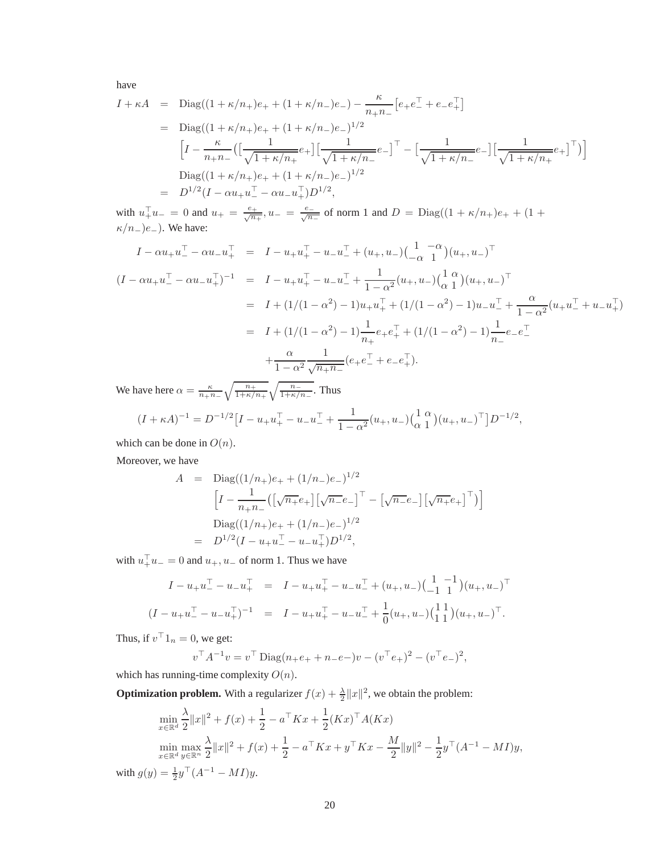have

$$
I + \kappa A = \text{Diag}((1 + \kappa/n_{+})e_{+} + (1 + \kappa/n_{-})e_{-}) - \frac{\kappa}{n_{+}n_{-}}[e_{+}e_{-}^{\top} + e_{-}e_{+}^{\top}]
$$
  
\n
$$
= \text{Diag}((1 + \kappa/n_{+})e_{+} + (1 + \kappa/n_{-})e_{-})^{1/2}
$$
  
\n
$$
\left[I - \frac{\kappa}{n_{+}n_{-}}\left(\left[\frac{1}{\sqrt{1 + \kappa/n_{+}}}e_{+}\right]\left[\frac{1}{\sqrt{1 + \kappa/n_{-}}}e_{-}\right]^{\top} - \left[\frac{1}{\sqrt{1 + \kappa/n_{-}}}e_{-}\right]\left[\frac{1}{\sqrt{1 + \kappa/n_{+}}}e_{+}\right]^{\top}\right)\right]
$$
  
\n
$$
\text{Diag}((1 + \kappa/n_{+})e_{+} + (1 + \kappa/n_{-})e_{-})^{1/2}
$$
  
\n
$$
= D^{1/2}(I - \alpha u_{+}u_{-}^{\top} - \alpha u_{-}u_{+}^{\top})D^{1/2},
$$

with  $u_+^{\top}u_- = 0$  and  $u_+ = \frac{e_+}{\sqrt{n}}$  $\frac{e^{\frac{1}{n+1}}}{n+1}$ ,  $u_{-} = \frac{e^{-n}}{\sqrt{n+1}}$  $\frac{n}{n-}$  of norm 1 and  $D = \text{Diag}((1 + \kappa/n_+)e_+ + (1 +$  $\kappa/n_{-})e_{-}$ ). We have:

$$
I - \alpha u_{+} u_{-}^{\top} - \alpha u_{-} u_{+}^{\top} = I - u_{+} u_{+}^{\top} - u_{-} u_{-}^{\top} + (u_{+}, u_{-}) \left( \frac{1}{-\alpha} \frac{1}{1} \right) (u_{+}, u_{-})^{\top}
$$
  
\n
$$
(I - \alpha u_{+} u_{-}^{\top} - \alpha u_{-} u_{+}^{\top})^{-1} = I - u_{+} u_{+}^{\top} - u_{-} u_{-}^{\top} + \frac{1}{1 - \alpha^{2}} (u_{+}, u_{-}) \left( \frac{1}{\alpha} \frac{\alpha}{1} \right) (u_{+}, u_{-})^{\top}
$$
  
\n
$$
= I + (1/(1 - \alpha^{2}) - 1) u_{+} u_{+}^{\top} + (1/(1 - \alpha^{2}) - 1) u_{-} u_{-}^{\top} + \frac{\alpha}{1 - \alpha^{2}} (u_{+} u_{-}^{\top} + u_{-} u_{+}^{\top})
$$
  
\n
$$
= I + (1/(1 - \alpha^{2}) - 1) \frac{1}{n_{+}} e_{+} e_{+}^{\top} + (1/(1 - \alpha^{2}) - 1) \frac{1}{n_{-}} e_{-} e_{-}^{\top}
$$
  
\n
$$
+ \frac{\alpha}{1 - \alpha^{2}} \frac{1}{\sqrt{n_{+} n_{-}}} (e_{+} e_{-}^{\top} + e_{-} e_{+}^{\top}).
$$

We have here  $\alpha = \frac{\kappa}{n+n} \sqrt{\frac{n_+}{1+\kappa/n_+}} \sqrt{\frac{n_-}{1+\kappa/n_-}}$ . Thus

$$
(I + \kappa A)^{-1} = D^{-1/2} \left[ I - u_+ u_+^\top - u_- u_-^\top + \frac{1}{1 - \alpha^2} (u_+, u_-) \left( \begin{matrix} 1 & \alpha \\ \alpha & 1 \end{matrix} \right) (u_+, u_-)^\top \right] D^{-1/2},
$$

which can be done in  $O(n)$ .

Moreover, we have

$$
A = \text{Diag}((1/n_{+})e_{+} + (1/n_{-})e_{-})^{1/2}
$$

$$
\left[I - \frac{1}{n_{+}n_{-}}(\left[\sqrt{n_{+}}e_{+}\right]\left[\sqrt{n_{-}}e_{-}\right]^{\top} - \left[\sqrt{n_{-}}e_{-}\right]\left[\sqrt{n_{+}}e_{+}\right]^{\top})\right]
$$

$$
\text{Diag}((1/n_{+})e_{+} + (1/n_{-})e_{-})^{1/2}
$$

$$
= D^{1/2}(I - u_{+}u_{-}^{\top} - u_{-}u_{+}^{\top})D^{1/2},
$$

with  $u_+^{\dagger}u_- = 0$  and  $u_+, u_-$  of norm 1. Thus we have

$$
I - u_{+}u_{-}^{\top} - u_{-}u_{+}^{\top} = I - u_{+}u_{+}^{\top} - u_{-}u_{-}^{\top} + (u_{+}, u_{-})\begin{pmatrix} 1 & -1 \\ -1 & 1 \end{pmatrix}(u_{+}, u_{-})^{\top}
$$
  

$$
(I - u_{+}u_{-}^{\top} - u_{-}u_{+}^{\top})^{-1} = I - u_{+}u_{+}^{\top} - u_{-}u_{-}^{\top} + \frac{1}{0}(u_{+}, u_{-})\begin{pmatrix} 1 & 1 \\ 1 & 1 \end{pmatrix}(u_{+}, u_{-})^{\top}.
$$

Thus, if  $v<sup>†</sup> 1<sub>n</sub> = 0$ , we get:

$$
v^{\top} A^{-1} v = v^{\top} \text{Diag}(n_{+} e_{+} + n_{-} e_{-}) v - (v^{\top} e_{+})^{2} - (v^{\top} e_{-})^{2},
$$

which has running-time complexity  ${\cal O}(n).$ 

**Optimization problem.** With a regularizer  $f(x) + \frac{\lambda}{2} ||x||^2$ , we obtain the problem:

$$
\min_{x \in \mathbb{R}^d} \frac{\lambda}{2} ||x||^2 + f(x) + \frac{1}{2} - a^\top K x + \frac{1}{2} (Kx)^\top A (Kx)
$$
  
\n
$$
\min_{x \in \mathbb{R}^d} \max_{y \in \mathbb{R}^n} \frac{\lambda}{2} ||x||^2 + f(x) + \frac{1}{2} - a^\top K x + y^\top K x - \frac{M}{2} ||y||^2 - \frac{1}{2} y^\top (A^{-1} - MI)y,
$$
  
\n
$$
= \frac{1}{2} y^\top (A^{-1} - MI)y.
$$

with  $g(y) = \frac{1}{2}y^{T}(A^{-1} - MI)y$ .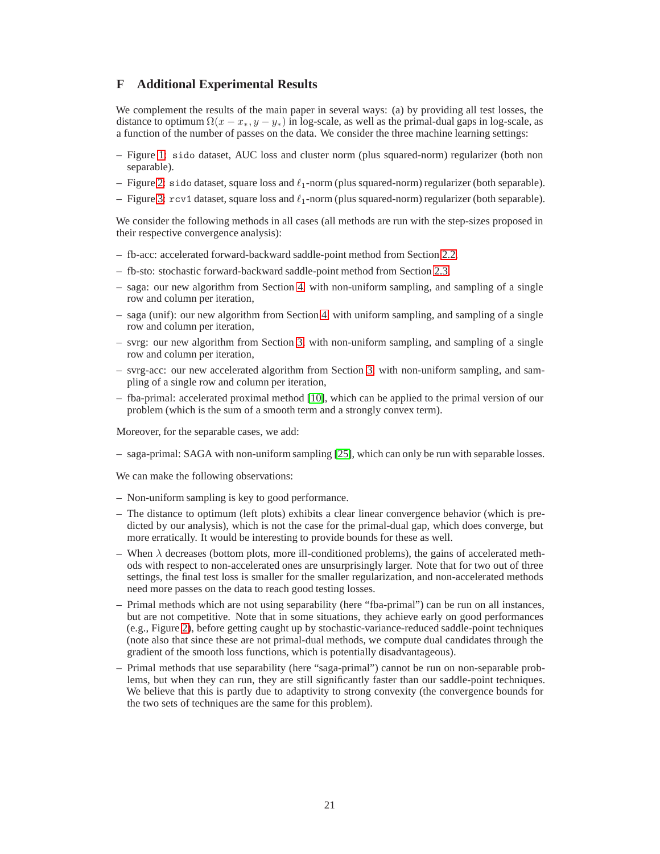# <span id="page-20-0"></span>**F Additional Experimental Results**

We complement the results of the main paper in several ways: (a) by providing all test losses, the distance to optimum  $\Omega(x - x_*, y - y_*)$  in log-scale, as well as the primal-dual gaps in log-scale, as a function of the number of passes on the data. We consider the three machine learning settings:

- Figure [1:](#page-21-0) sido dataset, AUC loss and cluster norm (plus squared-norm) regularizer (both non separable).
- Figure [2:](#page-21-1) sido dataset, square loss and  $\ell_1$ -norm (plus squared-norm) regularizer (both separable).
- Figure [3:](#page-22-0)  $rcv1$  dataset, square loss and  $\ell_1$ -norm (plus squared-norm) regularizer (both separable).

We consider the following methods in all cases (all methods are run with the step-sizes proposed in their respective convergence analysis):

- fb-acc: accelerated forward-backward saddle-point method from Section [2.2,](#page-2-1)
- fb-sto: stochastic forward-backward saddle-point method from Section [2.3,](#page-3-1)
- saga: our new algorithm from Section [4,](#page-4-0) with non-uniform sampling, and sampling of a single row and column per iteration,
- saga (unif): our new algorithm from Section [4,](#page-4-0) with uniform sampling, and sampling of a single row and column per iteration,
- svrg: our new algorithm from Section [3,](#page-4-3) with non-uniform sampling, and sampling of a single row and column per iteration,
- svrg-acc: our new accelerated algorithm from Section [3,](#page-4-3) with non-uniform sampling, and sampling of a single row and column per iteration,
- fba-primal: accelerated proximal method [\[10\]](#page-8-9), which can be applied to the primal version of our problem (which is the sum of a smooth term and a strongly convex term).

Moreover, for the separable cases, we add:

– saga-primal: SAGA with non-uniform sampling [\[25\]](#page-8-24), which can only be run with separable losses.

We can make the following observations:

- Non-uniform sampling is key to good performance.
- The distance to optimum (left plots) exhibits a clear linear convergence behavior (which is predicted by our analysis), which is not the case for the primal-dual gap, which does converge, but more erratically. It would be interesting to provide bounds for these as well.
- When  $\lambda$  decreases (bottom plots, more ill-conditioned problems), the gains of accelerated methods with respect to non-accelerated ones are unsurprisingly larger. Note that for two out of three settings, the final test loss is smaller for the smaller regularization, and non-accelerated methods need more passes on the data to reach good testing losses.
- Primal methods which are not using separability (here "fba-primal") can be run on all instances, but are not competitive. Note that in some situations, they achieve early on good performances (e.g., Figure [2\)](#page-21-1), before getting caught up by stochastic-variance-reduced saddle-point techniques (note also that since these are not primal-dual methods, we compute dual candidates through the gradient of the smooth loss functions, which is potentially disadvantageous).
- Primal methods that use separability (here "saga-primal") cannot be run on non-separable problems, but when they can run, they are still significantly faster than our saddle-point techniques. We believe that this is partly due to adaptivity to strong convexity (the convergence bounds for the two sets of techniques are the same for this problem).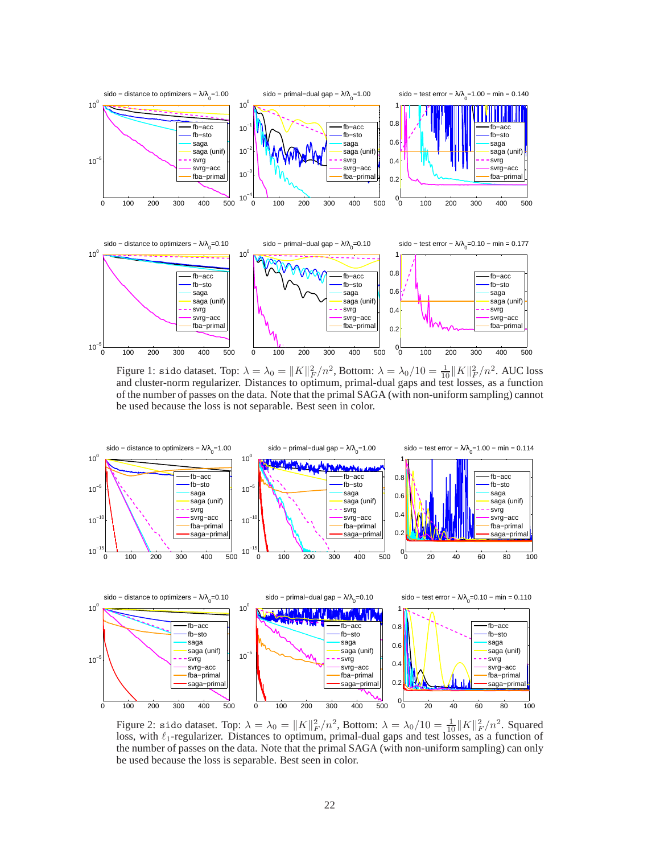

<span id="page-21-0"></span>Figure 1: sido dataset. Top:  $\lambda = \lambda_0 = ||K||_F^2/n^2$ , Bottom:  $\lambda = \lambda_0/10 = \frac{1}{10} ||K||_F^2/n^2$ . AUC loss and cluster-norm regularizer. Distances to optimum, primal-dual gaps and test losses, as a function of the number of passes on the data. Note that the primal SAGA (with non-uniform sampling) cannot be used because the loss is not separable. Best seen in color.



<span id="page-21-1"></span>Figure 2: sido dataset. Top:  $\lambda = \lambda_0 = ||K||_F^2/n^2$ , Bottom:  $\lambda = \lambda_0/10 = \frac{1}{10} ||K||_F^2/n^2$ . Squared loss, with  $\ell_1$ -regularizer. Distances to optimum, primal-dual gaps and test losses, as a function of the number of passes on the data. Note that the primal SAGA (with non-uniform sampling) can only be used because the loss is separable. Best seen in color.